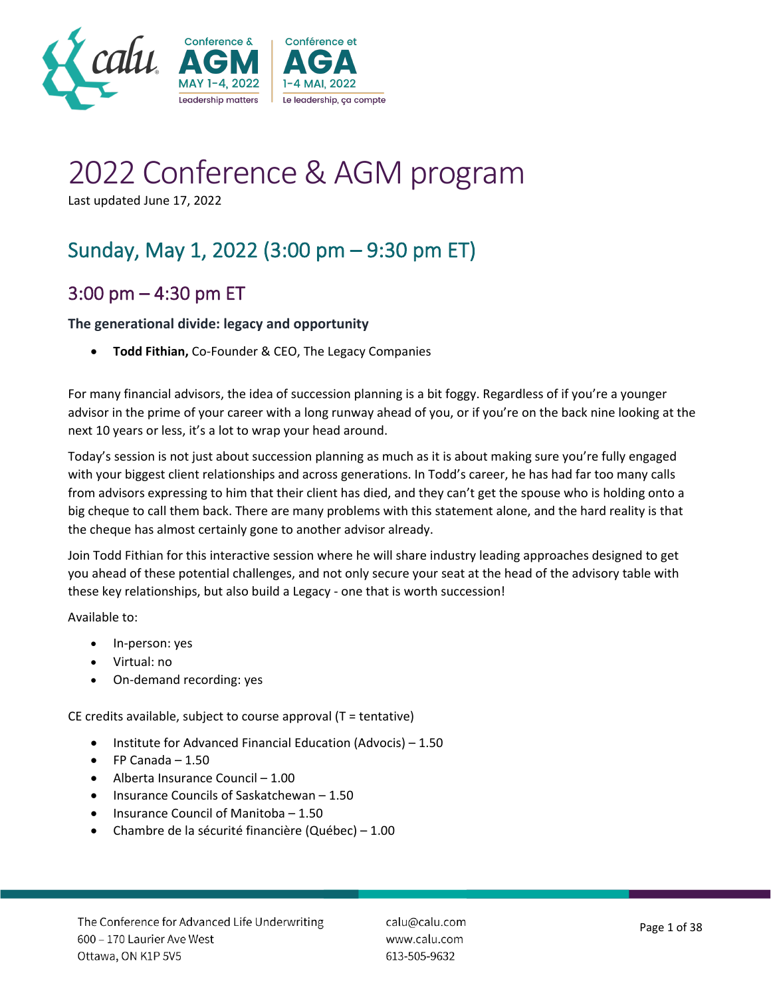

# 2022 Conference & AGM program

Last updated June 17, 2022

# Sunday, May 1, 2022 (3:00 pm – 9:30 pm ET)

# 3:00 pm – 4:30 pm ET

#### **The generational divide: legacy and opportunity**

• **Todd Fithian,** Co-Founder & CEO, The Legacy Companies

For many financial advisors, the idea of succession planning is a bit foggy. Regardless of if you're a younger advisor in the prime of your career with a long runway ahead of you, or if you're on the back nine looking at the next 10 years or less, it's a lot to wrap your head around.

Today's session is not just about succession planning as much as it is about making sure you're fully engaged with your biggest client relationships and across generations. In Todd's career, he has had far too many calls from advisors expressing to him that their client has died, and they can't get the spouse who is holding onto a big cheque to call them back. There are many problems with this statement alone, and the hard reality is that the cheque has almost certainly gone to another advisor already.

Join Todd Fithian for this interactive session where he will share industry leading approaches designed to get you ahead of these potential challenges, and not only secure your seat at the head of the advisory table with these key relationships, but also build a Legacy - one that is worth succession!

Available to:

- In-person: yes
- Virtual: no
- On-demand recording: yes

CE credits available, subject to course approval (T = tentative)

- Institute for Advanced Financial Education (Advocis) 1.50
- $\bullet$  FP Canada 1.50
- Alberta Insurance Council 1.00
- Insurance Councils of Saskatchewan 1.50
- Insurance Council of Manitoba 1.50
- Chambre de la sécurité financière (Québec) 1.00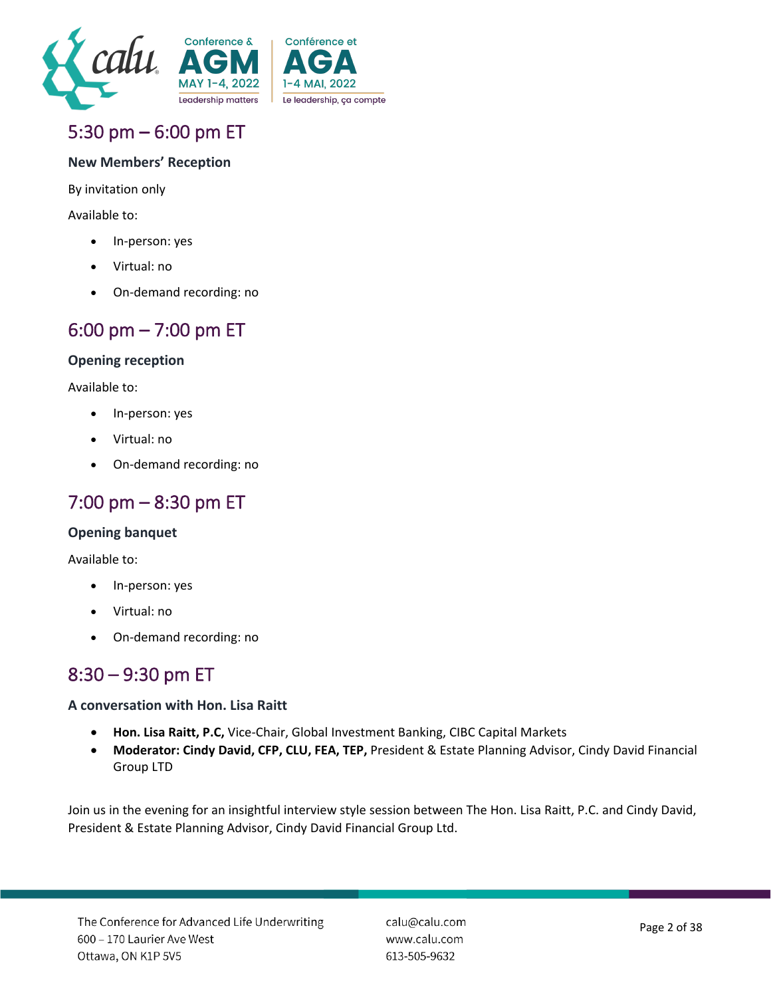



# 5:30 pm – 6:00 pm ET

#### **New Members' Reception**

By invitation only

Available to:

- In-person: yes
- Virtual: no
- On-demand recording: no

### 6:00 pm – 7:00 pm ET

#### **Opening reception**

Available to:

- In-person: yes
- Virtual: no
- On-demand recording: no

### 7:00 pm – 8:30 pm ET

#### **Opening banquet**

Available to:

- In-person: yes
- Virtual: no
- On-demand recording: no

### 8:30 – 9:30 pm ET

#### **A conversation with Hon. Lisa Raitt**

- **Hon. Lisa Raitt, P.C,** Vice-Chair, Global Investment Banking, CIBC Capital Markets
- **Moderator: Cindy David, CFP, CLU, FEA, TEP,** President & Estate Planning Advisor, Cindy David Financial Group LTD

Join us in the evening for an insightful interview style session between The Hon. Lisa Raitt, P.C. and Cindy David, President & Estate Planning Advisor, Cindy David Financial Group Ltd.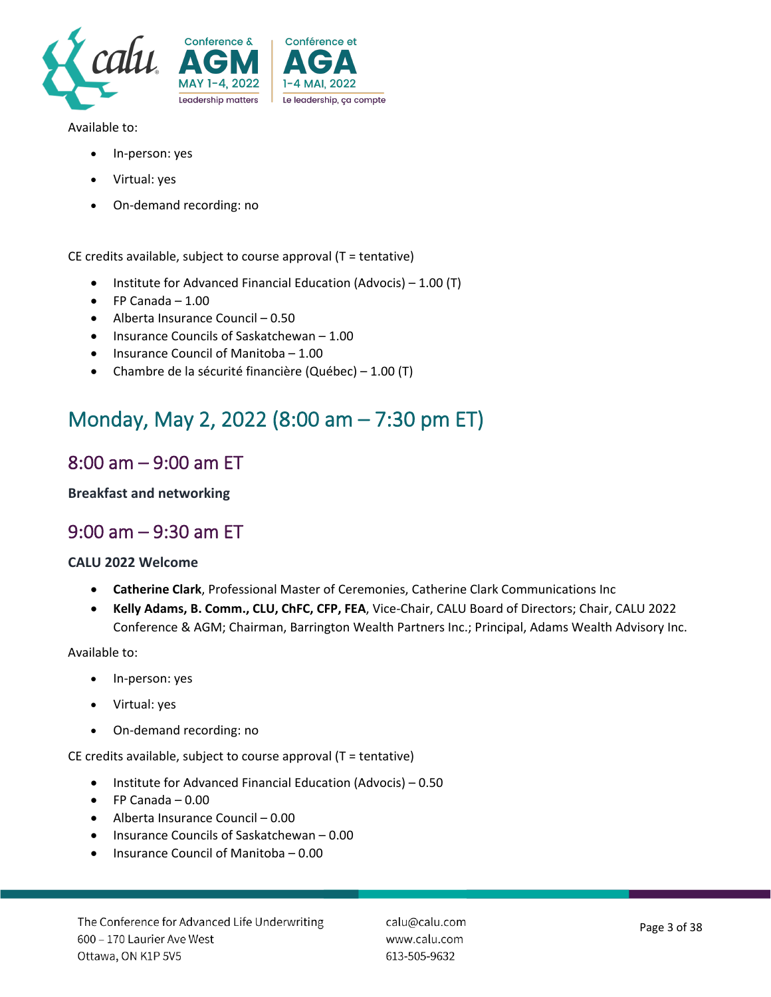

Available to:

- In-person: yes
- Virtual: yes
- On-demand recording: no

CE credits available, subject to course approval (T = tentative)

- Institute for Advanced Financial Education (Advocis) 1.00 (T)
- $\bullet$  FP Canada 1.00
- Alberta Insurance Council 0.50
- Insurance Councils of Saskatchewan 1.00
- Insurance Council of Manitoba 1.00
- Chambre de la sécurité financière (Québec) 1.00 (T)

# Monday, May 2, 2022 (8:00 am – 7:30 pm ET)

### 8:00 am – 9:00 am ET

**Breakfast and networking**

### 9:00 am – 9:30 am ET

#### **CALU 2022 Welcome**

- **Catherine Clark**, Professional Master of Ceremonies, Catherine Clark Communications Inc
- **Kelly Adams, B. Comm., CLU, ChFC, CFP, FEA**, Vice-Chair, CALU Board of Directors; Chair, CALU 2022 Conference & AGM; Chairman, Barrington Wealth Partners Inc.; Principal, Adams Wealth Advisory Inc.

Available to:

- In-person: yes
- Virtual: yes
- On-demand recording: no

CE credits available, subject to course approval (T = tentative)

- Institute for Advanced Financial Education (Advocis) 0.50
- FP Canada 0.00
- Alberta Insurance Council 0.00
- Insurance Councils of Saskatchewan 0.00
- Insurance Council of Manitoba 0.00

calu@calu.com www.calu.com 613-505-9632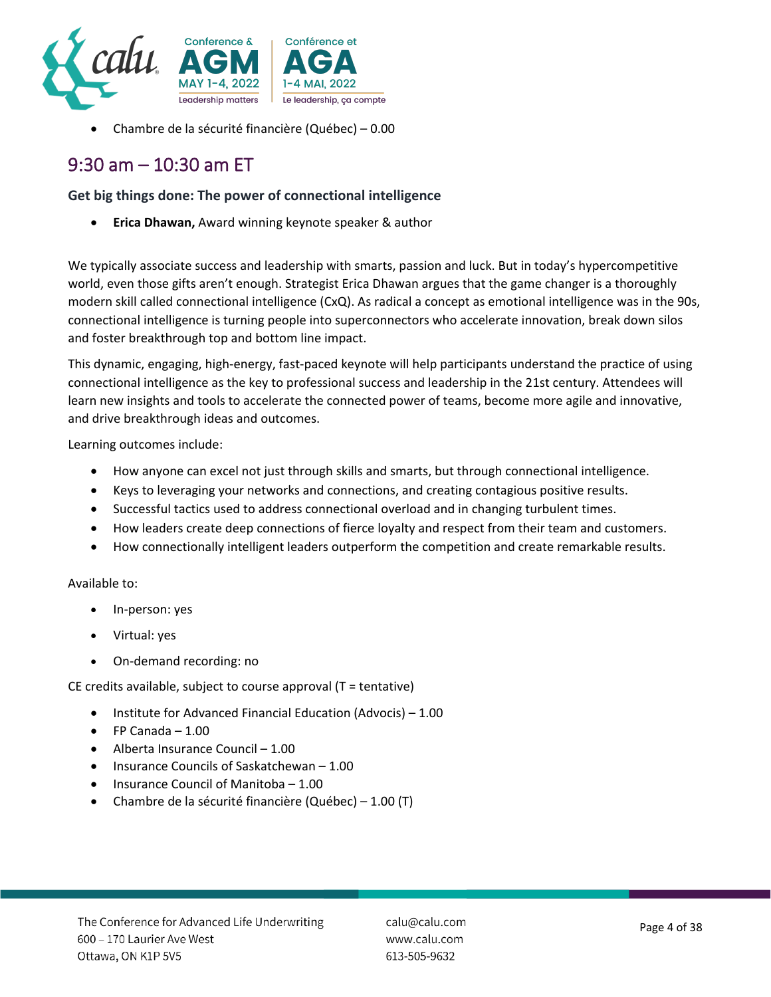

• Chambre de la sécurité financière (Québec) – 0.00

### 9:30 am – 10:30 am ET

#### **Get big things done: The power of connectional intelligence**

• **Erica Dhawan,** Award winning keynote speaker & author

We typically associate success and leadership with smarts, passion and luck. But in today's hypercompetitive world, even those gifts aren't enough. Strategist Erica Dhawan argues that the game changer is a thoroughly modern skill called connectional intelligence (CxQ). As radical a concept as emotional intelligence was in the 90s, connectional intelligence is turning people into superconnectors who accelerate innovation, break down silos and foster breakthrough top and bottom line impact.

This dynamic, engaging, high-energy, fast-paced keynote will help participants understand the practice of using connectional intelligence as the key to professional success and leadership in the 21st century. Attendees will learn new insights and tools to accelerate the connected power of teams, become more agile and innovative, and drive breakthrough ideas and outcomes.

Learning outcomes include:

- How anyone can excel not just through skills and smarts, but through connectional intelligence.
- Keys to leveraging your networks and connections, and creating contagious positive results.
- Successful tactics used to address connectional overload and in changing turbulent times.
- How leaders create deep connections of fierce loyalty and respect from their team and customers.
- How connectionally intelligent leaders outperform the competition and create remarkable results.

#### Available to:

- In-person: yes
- Virtual: yes
- On-demand recording: no

CE credits available, subject to course approval (T = tentative)

- Institute for Advanced Financial Education (Advocis) 1.00
- FP Canada 1.00
- Alberta Insurance Council 1.00
- Insurance Councils of Saskatchewan 1.00
- Insurance Council of Manitoba 1.00
- Chambre de la sécurité financière (Québec) 1.00 (T)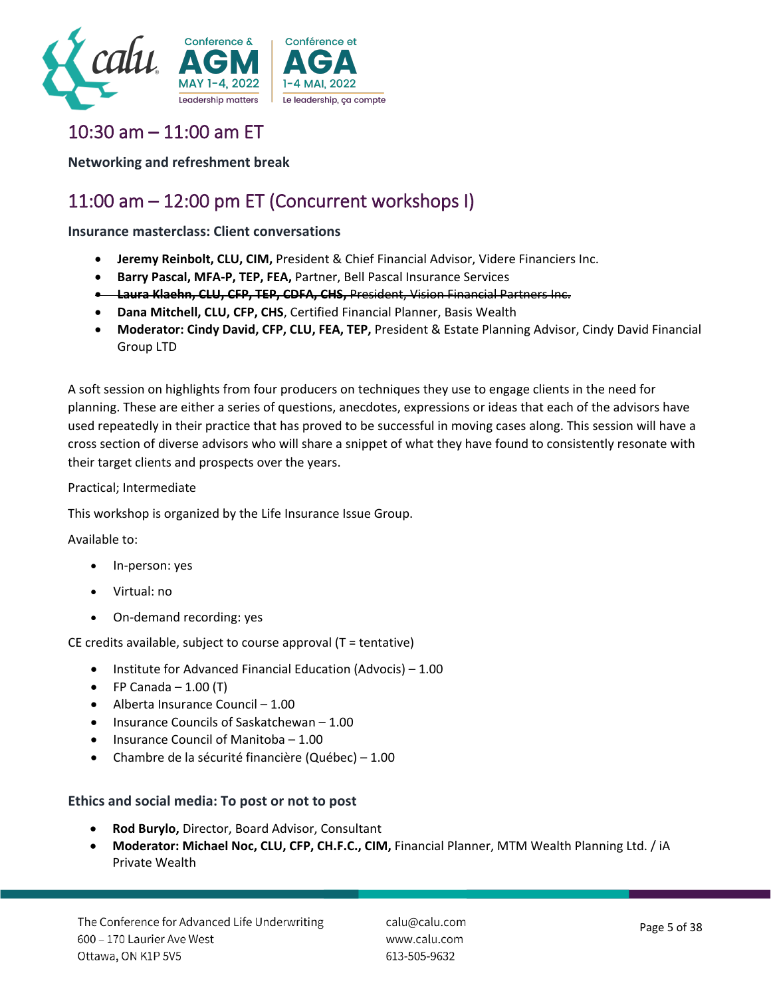

# 10:30 am – 11:00 am ET

**Networking and refreshment break**

# 11:00 am – 12:00 pm ET (Concurrent workshops I)

#### **Insurance masterclass: Client conversations**

- **Jeremy Reinbolt, CLU, CIM,** President & Chief Financial Advisor, Videre Financiers Inc.
- **Barry Pascal, MFA-P, TEP, FEA,** Partner, Bell Pascal Insurance Services
- **Laura Klaehn, CLU, CFP, TEP, CDFA, CHS,** President, Vision Financial Partners Inc.
- **Dana Mitchell, CLU, CFP, CHS**, Certified Financial Planner, Basis Wealth
- **Moderator: Cindy David, CFP, CLU, FEA, TEP,** President & Estate Planning Advisor, Cindy David Financial Group LTD

A soft session on highlights from four producers on techniques they use to engage clients in the need for planning. These are either a series of questions, anecdotes, expressions or ideas that each of the advisors have used repeatedly in their practice that has proved to be successful in moving cases along. This session will have a cross section of diverse advisors who will share a snippet of what they have found to consistently resonate with their target clients and prospects over the years.

#### Practical; Intermediate

This workshop is organized by the Life Insurance Issue Group.

#### Available to:

- In-person: yes
- Virtual: no
- On-demand recording: yes

CE credits available, subject to course approval (T = tentative)

- Institute for Advanced Financial Education (Advocis) 1.00
- FP Canada  $-1.00$  (T)
- Alberta Insurance Council 1.00
- Insurance Councils of Saskatchewan 1.00
- Insurance Council of Manitoba 1.00
- Chambre de la sécurité financière (Québec) 1.00

#### **Ethics and social media: To post or not to post**

- **Rod Burylo,** Director, Board Advisor, Consultant
- **Moderator: Michael Noc, CLU, CFP, CH.F.C., CIM,** Financial Planner, MTM Wealth Planning Ltd. / iA Private Wealth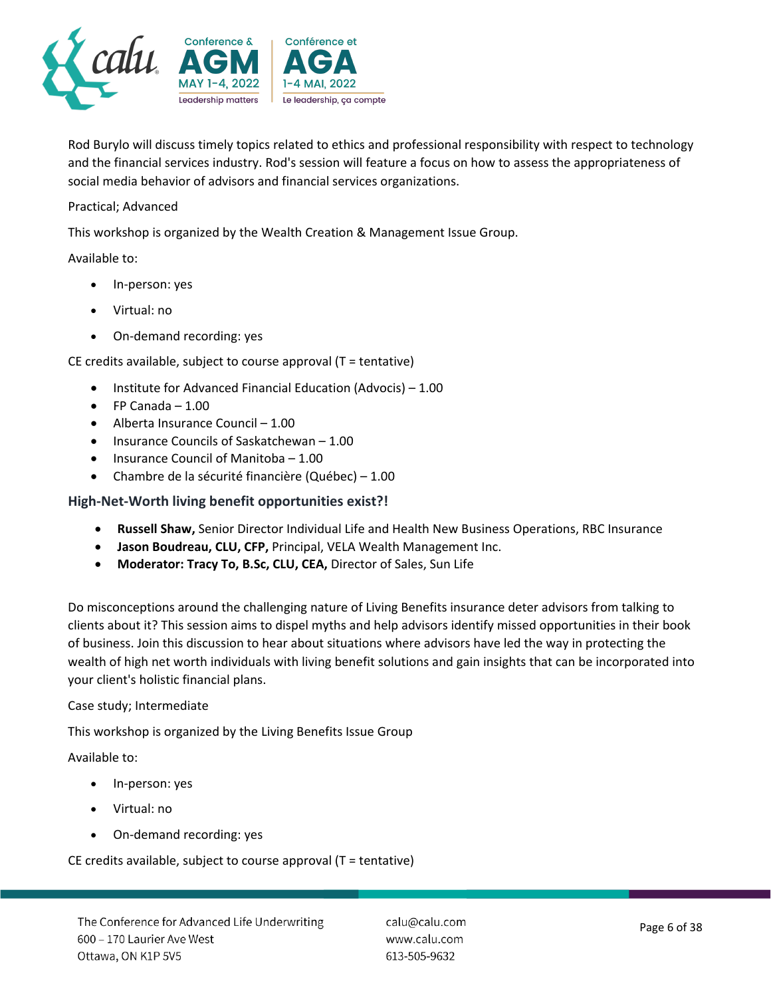

Rod Burylo will discuss timely topics related to ethics and professional responsibility with respect to technology and the financial services industry. Rod's session will feature a focus on how to assess the appropriateness of social media behavior of advisors and financial services organizations.

#### Practical; Advanced

This workshop is organized by the Wealth Creation & Management Issue Group.

#### Available to:

- In-person: yes
- Virtual: no
- On-demand recording: yes

CE credits available, subject to course approval (T = tentative)

- Institute for Advanced Financial Education (Advocis) 1.00
- FP Canada 1.00
- Alberta Insurance Council 1.00
- Insurance Councils of Saskatchewan 1.00
- Insurance Council of Manitoba 1.00
- Chambre de la sécurité financière (Québec) 1.00

#### **High-Net-Worth living benefit opportunities exist?!**

- **Russell Shaw,** Senior Director Individual Life and Health New Business Operations, RBC Insurance
- **Jason Boudreau, CLU, CFP,** Principal, VELA Wealth Management Inc.
- **Moderator: Tracy To, B.Sc, CLU, CEA,** Director of Sales, Sun Life

Do misconceptions around the challenging nature of Living Benefits insurance deter advisors from talking to clients about it? This session aims to dispel myths and help advisors identify missed opportunities in their book of business. Join this discussion to hear about situations where advisors have led the way in protecting the wealth of high net worth individuals with living benefit solutions and gain insights that can be incorporated into your client's holistic financial plans.

#### Case study; Intermediate

This workshop is organized by the Living Benefits Issue Group

#### Available to:

- In-person: yes
- Virtual: no
- On-demand recording: yes

CE credits available, subject to course approval (T = tentative)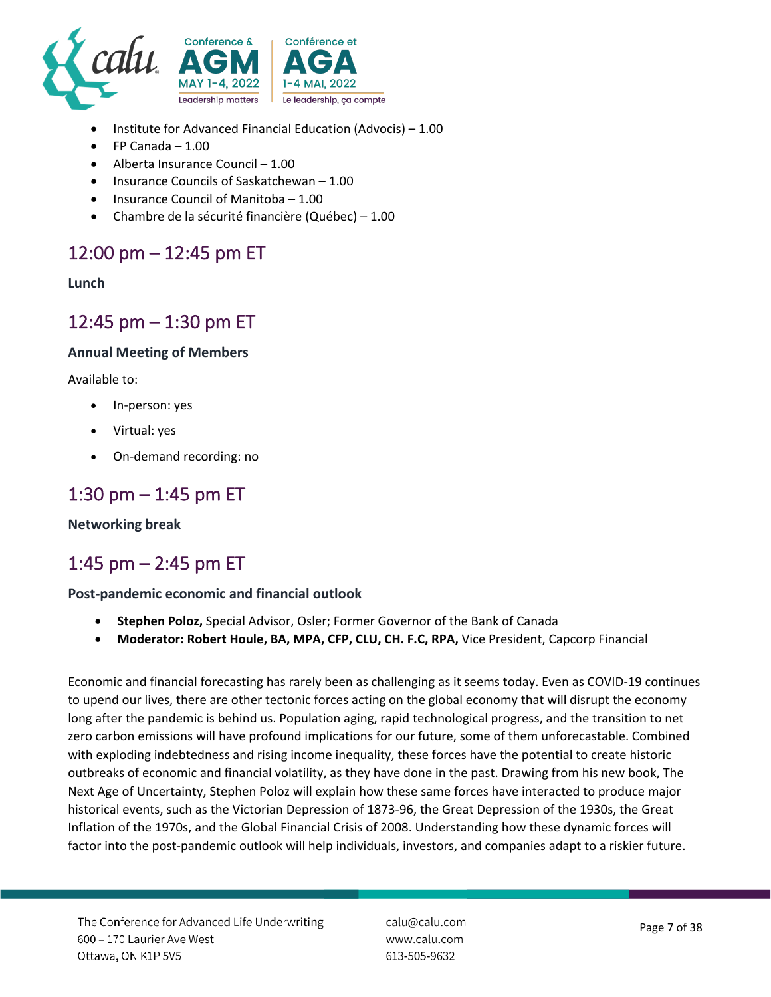

- Institute for Advanced Financial Education (Advocis) 1.00
- FP Canada 1.00
- Alberta Insurance Council 1.00
- Insurance Councils of Saskatchewan 1.00
- Insurance Council of Manitoba 1.00
- Chambre de la sécurité financière (Québec) 1.00

### 12:00 pm – 12:45 pm ET

#### **Lunch**

### 12:45 pm – 1:30 pm ET

#### **Annual Meeting of Members**

Available to:

- In-person: yes
- Virtual: yes
- On-demand recording: no

### 1:30 pm – 1:45 pm ET

#### **Networking break**

### 1:45 pm – 2:45 pm ET

#### **Post-pandemic economic and financial outlook**

- **Stephen Poloz,** Special Advisor, Osler; Former Governor of the Bank of Canada
- **Moderator: Robert Houle, BA, MPA, CFP, CLU, CH. F.C, RPA,** Vice President, Capcorp Financial

Economic and financial forecasting has rarely been as challenging as it seems today. Even as COVID-19 continues to upend our lives, there are other tectonic forces acting on the global economy that will disrupt the economy long after the pandemic is behind us. Population aging, rapid technological progress, and the transition to net zero carbon emissions will have profound implications for our future, some of them unforecastable. Combined with exploding indebtedness and rising income inequality, these forces have the potential to create historic outbreaks of economic and financial volatility, as they have done in the past. Drawing from his new book, The Next Age of Uncertainty, Stephen Poloz will explain how these same forces have interacted to produce major historical events, such as the Victorian Depression of 1873-96, the Great Depression of the 1930s, the Great Inflation of the 1970s, and the Global Financial Crisis of 2008. Understanding how these dynamic forces will factor into the post-pandemic outlook will help individuals, investors, and companies adapt to a riskier future.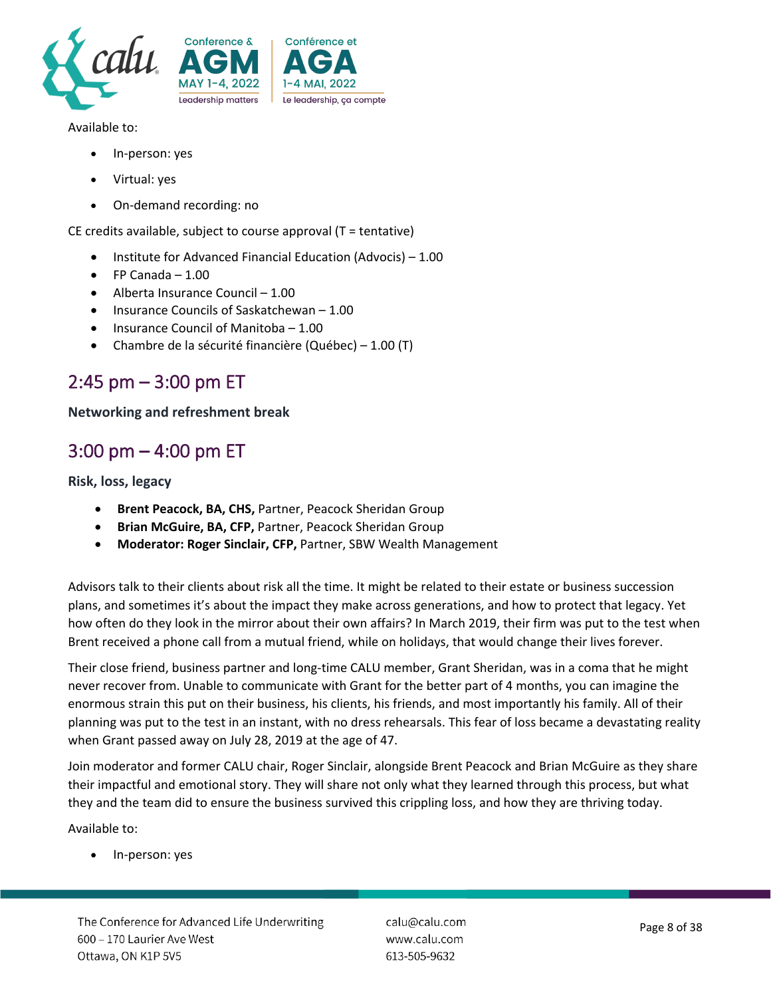

Available to:

- In-person: yes
- Virtual: yes
- On-demand recording: no

CE credits available, subject to course approval (T = tentative)

- Institute for Advanced Financial Education (Advocis) 1.00
- $\bullet$  FP Canada 1.00
- Alberta Insurance Council 1.00
- Insurance Councils of Saskatchewan 1.00
- Insurance Council of Manitoba 1.00
- Chambre de la sécurité financière (Québec) 1.00 (T)

### 2:45 pm – 3:00 pm ET

#### **Networking and refreshment break**

### 3:00 pm – 4:00 pm ET

**Risk, loss, legacy**

- **Brent Peacock, BA, CHS,** Partner, Peacock Sheridan Group
- **Brian McGuire, BA, CFP,** Partner, Peacock Sheridan Group
- **Moderator: Roger Sinclair, CFP,** Partner, SBW Wealth Management

Advisors talk to their clients about risk all the time. It might be related to their estate or business succession plans, and sometimes it's about the impact they make across generations, and how to protect that legacy. Yet how often do they look in the mirror about their own affairs? In March 2019, their firm was put to the test when Brent received a phone call from a mutual friend, while on holidays, that would change their lives forever.

Their close friend, business partner and long-time CALU member, Grant Sheridan, was in a coma that he might never recover from. Unable to communicate with Grant for the better part of 4 months, you can imagine the enormous strain this put on their business, his clients, his friends, and most importantly his family. All of their planning was put to the test in an instant, with no dress rehearsals. This fear of loss became a devastating reality when Grant passed away on July 28, 2019 at the age of 47.

Join moderator and former CALU chair, Roger Sinclair, alongside Brent Peacock and Brian McGuire as they share their impactful and emotional story. They will share not only what they learned through this process, but what they and the team did to ensure the business survived this crippling loss, and how they are thriving today.

Available to:

In-person: yes

calu@calu.com www.calu.com 613-505-9632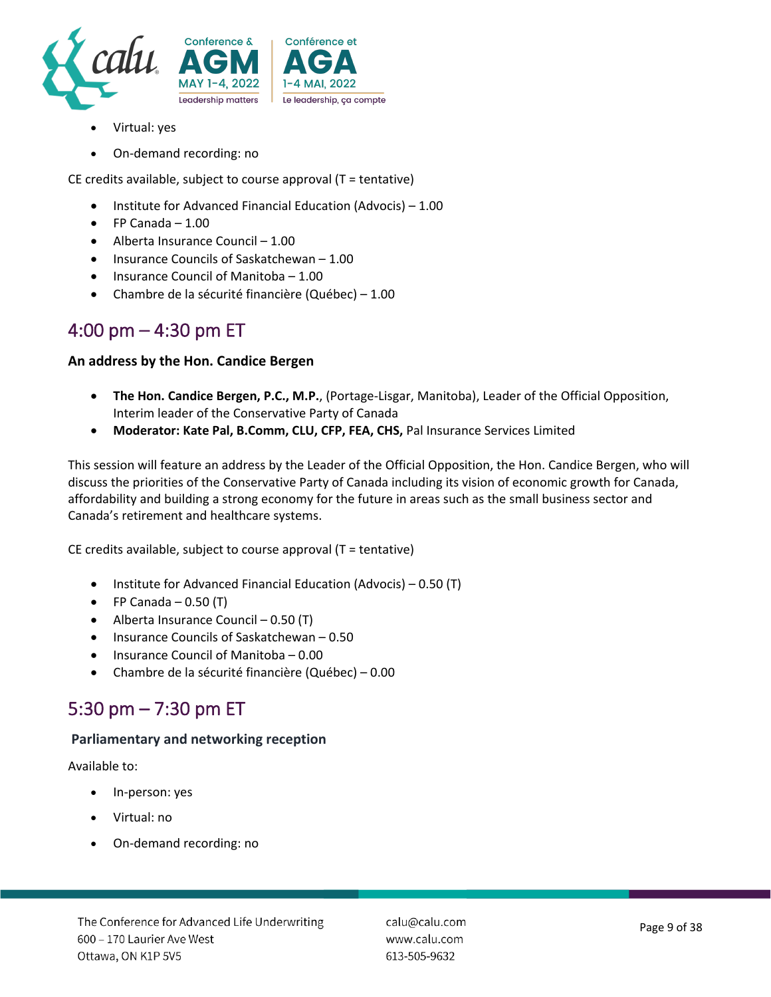

- Virtual: yes
- On-demand recording: no

CE credits available, subject to course approval (T = tentative)

- Institute for Advanced Financial Education (Advocis) 1.00
- FP Canada 1.00
- Alberta Insurance Council 1.00
- Insurance Councils of Saskatchewan 1.00
- Insurance Council of Manitoba 1.00
- Chambre de la sécurité financière (Québec) 1.00

### 4:00 pm – 4:30 pm ET

#### **An address by the Hon. Candice Bergen**

- **The Hon. Candice Bergen, P.C., M.P.**, (Portage-Lisgar, Manitoba), Leader of the Official Opposition, Interim leader of the Conservative Party of Canada
- **Moderator: Kate Pal, B.Comm, CLU, CFP, FEA, CHS,** Pal Insurance Services Limited

This session will feature an address by the Leader of the Official Opposition, the Hon. Candice Bergen, who will discuss the priorities of the Conservative Party of Canada including its vision of economic growth for Canada, affordability and building a strong economy for the future in areas such as the small business sector and Canada's retirement and healthcare systems.

CE credits available, subject to course approval (T = tentative)

- Institute for Advanced Financial Education (Advocis) 0.50 (T)
- $\bullet$  FP Canada 0.50 (T)
- Alberta Insurance Council 0.50 (T)
- Insurance Councils of Saskatchewan 0.50
- Insurance Council of Manitoba 0.00
- Chambre de la sécurité financière (Québec) 0.00

### 5:30 pm – 7:30 pm ET

#### **Parliamentary and networking reception**

Available to:

- In-person: yes
- Virtual: no
- On-demand recording: no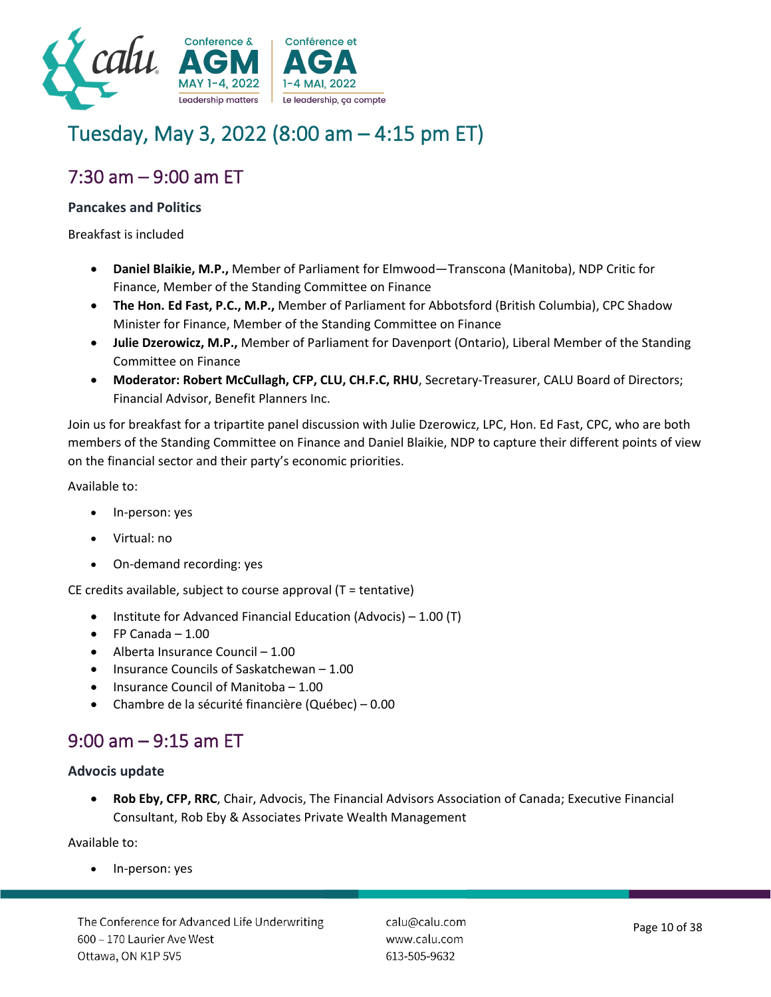

# Tuesday, May 3, 2022 (8:00 am – 4:15 pm ET)

# 7:30 am – 9:00 am ET

#### **Pancakes and Politics**

Breakfast is included

- **Daniel Blaikie, M.P.,** Member of Parliament for Elmwood—Transcona (Manitoba), NDP Critic for Finance, Member of the Standing Committee on Finance
- **The Hon. Ed Fast, P.C., M.P.,** Member of Parliament for Abbotsford (British Columbia), CPC Shadow Minister for Finance, Member of the Standing Committee on Finance
- **Julie Dzerowicz, M.P.,** Member of Parliament for Davenport (Ontario), Liberal Member of the Standing Committee on Finance
- **Moderator: Robert McCullagh, CFP, CLU, CH.F.C, RHU**, Secretary-Treasurer, CALU Board of Directors; Financial Advisor, Benefit Planners Inc.

Join us for breakfast for a tripartite panel discussion with Julie Dzerowicz, LPC, Hon. Ed Fast, CPC, who are both members of the Standing Committee on Finance and Daniel Blaikie, NDP to capture their different points of view on the financial sector and their party's economic priorities.

Available to:

- In-person: yes
- Virtual: no
- On-demand recording: yes

CE credits available, subject to course approval (T = tentative)

- Institute for Advanced Financial Education (Advocis) 1.00 (T)
- $\bullet$  FP Canada 1.00
- Alberta Insurance Council 1.00
- Insurance Councils of Saskatchewan 1.00
- Insurance Council of Manitoba 1.00
- Chambre de la sécurité financière (Québec) 0.00

# 9:00 am – 9:15 am ET

#### **Advocis update**

• **Rob Eby, CFP, RRC**, Chair, Advocis, The Financial Advisors Association of Canada; Executive Financial Consultant, Rob Eby & Associates Private Wealth Management

Available to:

• In-person: yes

The Conference for Advanced Life Underwriting 600 - 170 Laurier Ave West Ottawa, ON K1P 5V5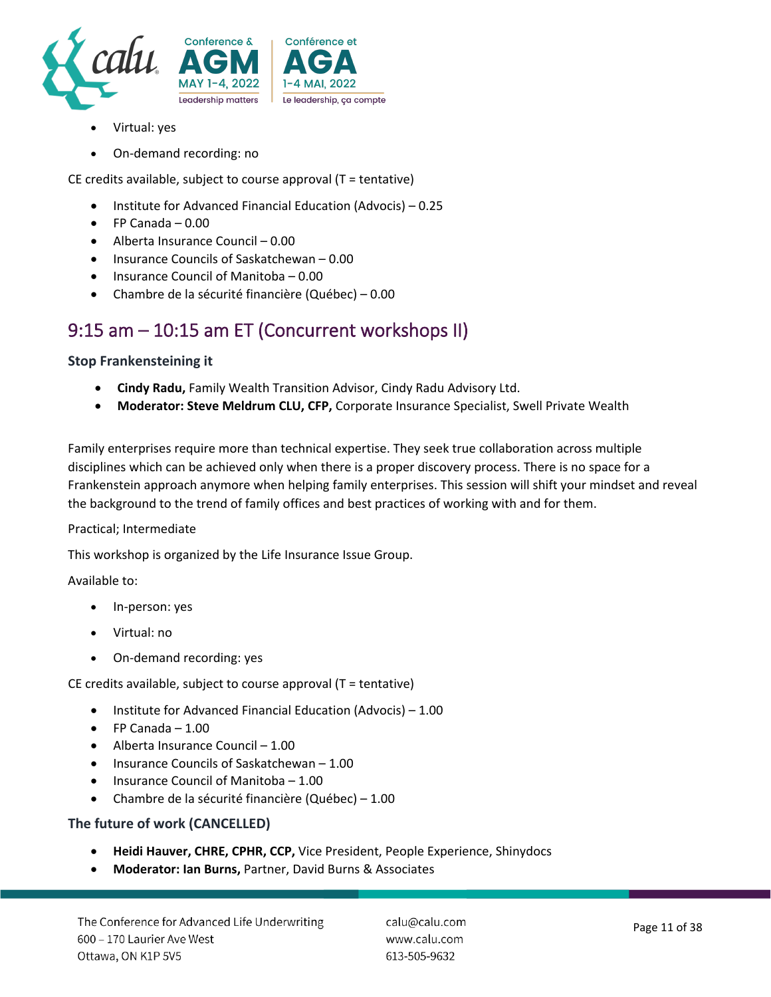

- Virtual: yes
- On-demand recording: no

CE credits available, subject to course approval (T = tentative)

- Institute for Advanced Financial Education (Advocis) 0.25
- FP Canada 0.00
- Alberta Insurance Council 0.00
- Insurance Councils of Saskatchewan 0.00
- Insurance Council of Manitoba 0.00
- Chambre de la sécurité financière (Québec) 0.00

### 9:15 am – 10:15 am ET (Concurrent workshops II)

#### **Stop Frankensteining it**

- **Cindy Radu,** Family Wealth Transition Advisor, Cindy Radu Advisory Ltd.
- **Moderator: Steve Meldrum CLU, CFP,** Corporate Insurance Specialist, Swell Private Wealth

Family enterprises require more than technical expertise. They seek true collaboration across multiple disciplines which can be achieved only when there is a proper discovery process. There is no space for a Frankenstein approach anymore when helping family enterprises. This session will shift your mindset and reveal the background to the trend of family offices and best practices of working with and for them.

#### Practical; Intermediate

This workshop is organized by the Life Insurance Issue Group.

Available to:

- In-person: yes
- Virtual: no
- On-demand recording: yes

CE credits available, subject to course approval (T = tentative)

- Institute for Advanced Financial Education (Advocis) 1.00
- $\bullet$  FP Canada 1.00
- Alberta Insurance Council 1.00
- Insurance Councils of Saskatchewan 1.00
- Insurance Council of Manitoba 1.00
- Chambre de la sécurité financière (Québec) 1.00

#### **The future of work (CANCELLED)**

- **Heidi Hauver, CHRE, CPHR, CCP,** Vice President, People Experience, Shinydocs
- **Moderator: Ian Burns,** Partner, David Burns & Associates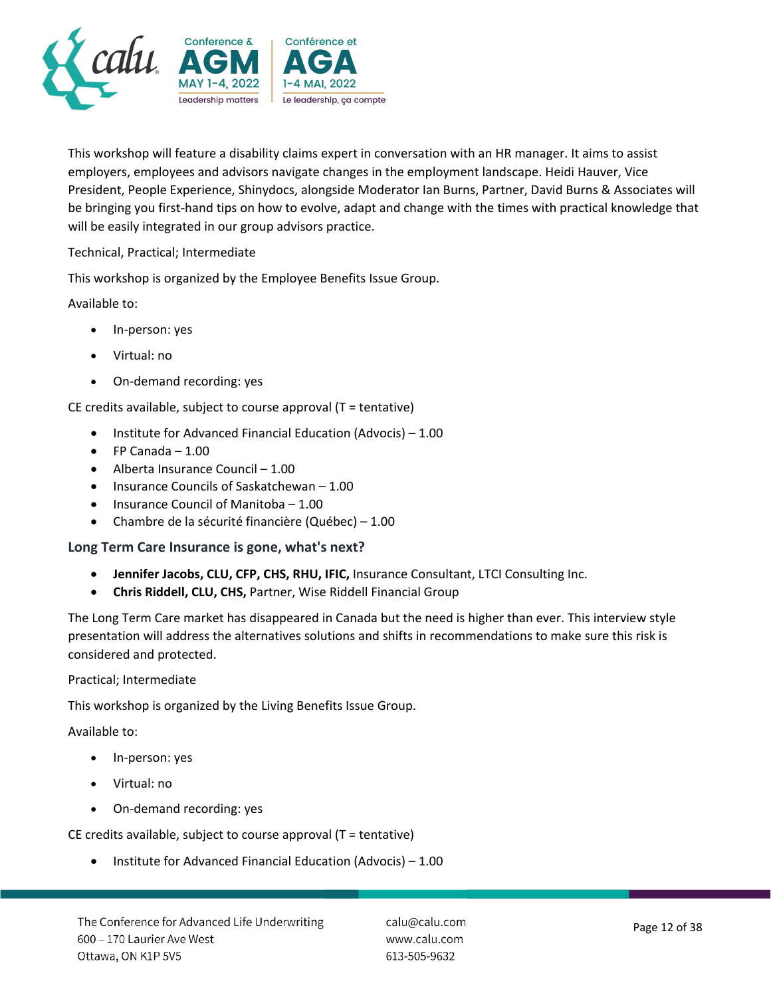

This workshop will feature a disability claims expert in conversation with an HR manager. It aims to assist employers, employees and advisors navigate changes in the employment landscape. Heidi Hauver, Vice President, People Experience, Shinydocs, alongside Moderator Ian Burns, Partner, David Burns & Associates will be bringing you first-hand tips on how to evolve, adapt and change with the times with practical knowledge that will be easily integrated in our group advisors practice.

Technical, Practical; Intermediate

This workshop is organized by the Employee Benefits Issue Group.

Available to:

- In-person: yes
- Virtual: no
- On-demand recording: yes

CE credits available, subject to course approval (T = tentative)

- Institute for Advanced Financial Education (Advocis) 1.00
- FP Canada 1.00
- Alberta Insurance Council 1.00
- Insurance Councils of Saskatchewan 1.00
- Insurance Council of Manitoba 1.00
- Chambre de la sécurité financière (Québec) 1.00

#### **Long Term Care Insurance is gone, what's next?**

- **Jennifer Jacobs, CLU, CFP, CHS, RHU, IFIC,** Insurance Consultant, LTCI Consulting Inc.
- **Chris Riddell, CLU, CHS,** Partner, Wise Riddell Financial Group

The Long Term Care market has disappeared in Canada but the need is higher than ever. This interview style presentation will address the alternatives solutions and shifts in recommendations to make sure this risk is considered and protected.

Practical; Intermediate

This workshop is organized by the Living Benefits Issue Group.

Available to:

- In-person: yes
- Virtual: no
- On-demand recording: yes

CE credits available, subject to course approval (T = tentative)

• Institute for Advanced Financial Education (Advocis) – 1.00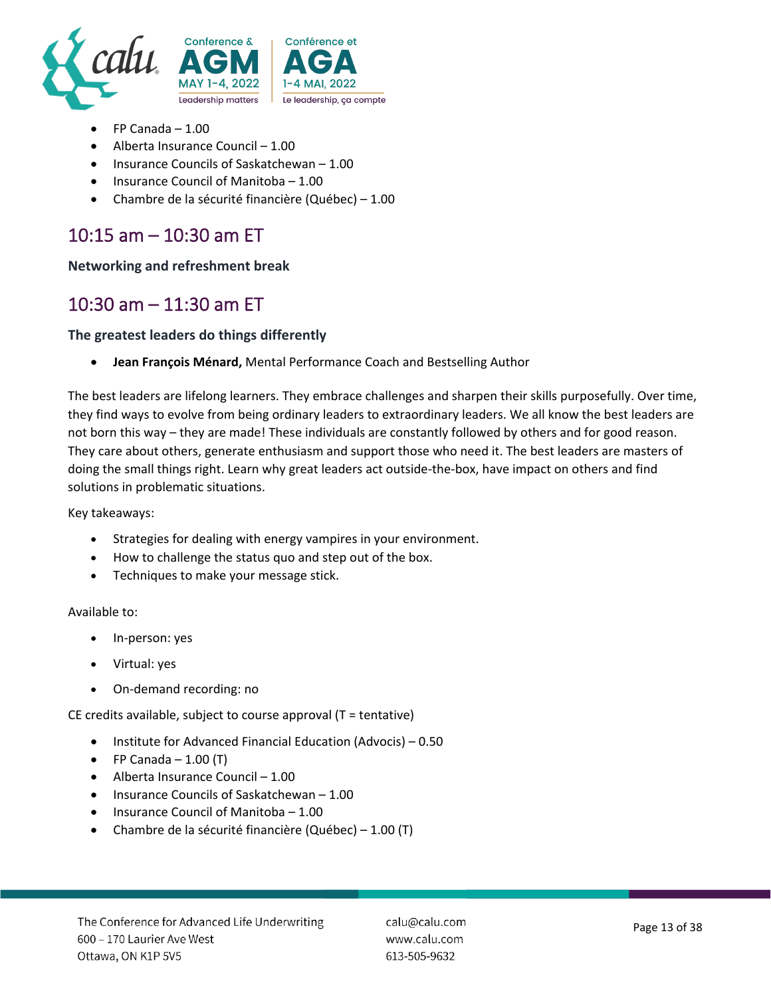

- FP Canada 1.00
- Alberta Insurance Council 1.00
- Insurance Councils of Saskatchewan 1.00
- Insurance Council of Manitoba 1.00
- Chambre de la sécurité financière (Québec) 1.00

# 10:15 am – 10:30 am ET

**Networking and refreshment break**

### 10:30 am – 11:30 am ET

#### **The greatest leaders do things differently**

• **Jean François Ménard,** Mental Performance Coach and Bestselling Author

The best leaders are lifelong learners. They embrace challenges and sharpen their skills purposefully. Over time, they find ways to evolve from being ordinary leaders to extraordinary leaders. We all know the best leaders are not born this way – they are made! These individuals are constantly followed by others and for good reason. They care about others, generate enthusiasm and support those who need it. The best leaders are masters of doing the small things right. Learn why great leaders act outside-the-box, have impact on others and find solutions in problematic situations.

Key takeaways:

- Strategies for dealing with energy vampires in your environment.
- How to challenge the status quo and step out of the box.
- Techniques to make your message stick.

#### Available to:

- In-person: yes
- Virtual: yes
- On-demand recording: no

CE credits available, subject to course approval (T = tentative)

- Institute for Advanced Financial Education (Advocis) 0.50
- FP Canada  $-1.00$  (T)
- Alberta Insurance Council 1.00
- Insurance Councils of Saskatchewan 1.00
- Insurance Council of Manitoba 1.00
- Chambre de la sécurité financière (Québec) 1.00 (T)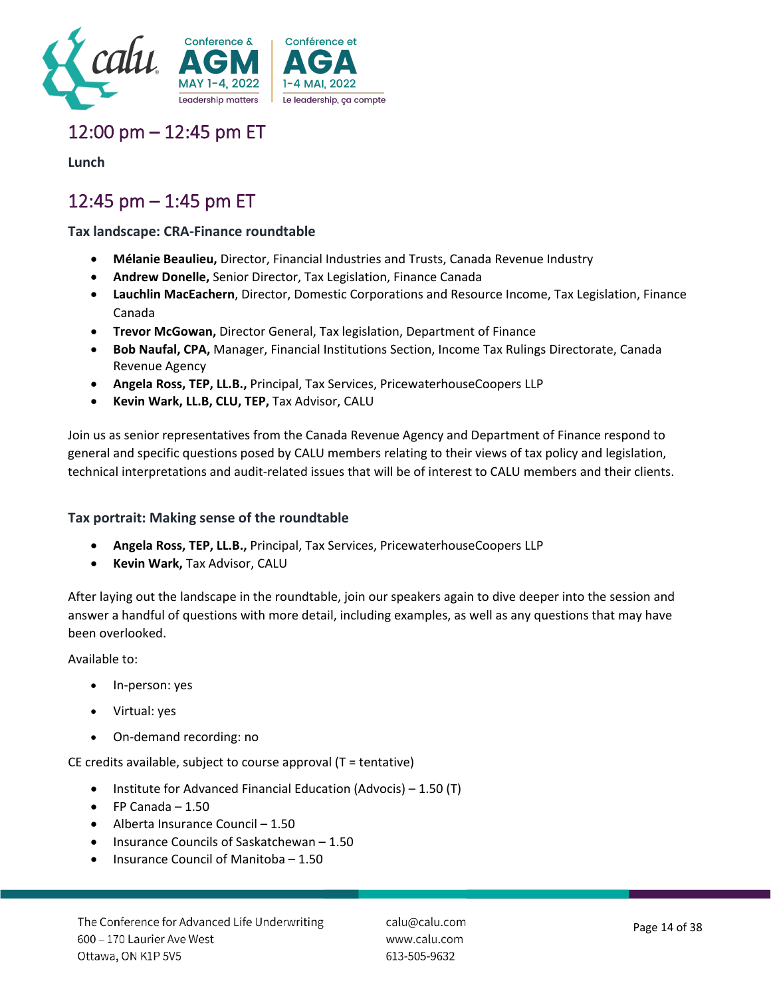

# 12:00 pm – 12:45 pm ET

**Lunch**

# 12:45 pm – 1:45 pm ET

#### **Tax landscape: CRA-Finance roundtable**

- **Mélanie Beaulieu,** Director, Financial Industries and Trusts, Canada Revenue Industry
- **Andrew Donelle,** Senior Director, Tax Legislation, Finance Canada
- **Lauchlin MacEachern**, Director, Domestic Corporations and Resource Income, Tax Legislation, Finance Canada
- **Trevor McGowan,** Director General, Tax legislation, Department of Finance
- **Bob Naufal, CPA,** Manager, Financial Institutions Section, Income Tax Rulings Directorate, Canada Revenue Agency
- **Angela Ross, TEP, LL.B.,** Principal, Tax Services, PricewaterhouseCoopers LLP
- **Kevin Wark, LL.B, CLU, TEP,** Tax Advisor, CALU

Join us as senior representatives from the Canada Revenue Agency and Department of Finance respond to general and specific questions posed by CALU members relating to their views of tax policy and legislation, technical interpretations and audit-related issues that will be of interest to CALU members and their clients.

#### **Tax portrait: Making sense of the roundtable**

- **Angela Ross, TEP, LL.B.,** Principal, Tax Services, PricewaterhouseCoopers LLP
- **Kevin Wark,** Tax Advisor, CALU

After laying out the landscape in the roundtable, join our speakers again to dive deeper into the session and answer a handful of questions with more detail, including examples, as well as any questions that may have been overlooked.

Available to:

- In-person: yes
- Virtual: yes
- On-demand recording: no

CE credits available, subject to course approval (T = tentative)

- Institute for Advanced Financial Education (Advocis) 1.50 (T)
- $\bullet$  FP Canada 1.50
- Alberta Insurance Council 1.50
- Insurance Councils of Saskatchewan 1.50
- Insurance Council of Manitoba 1.50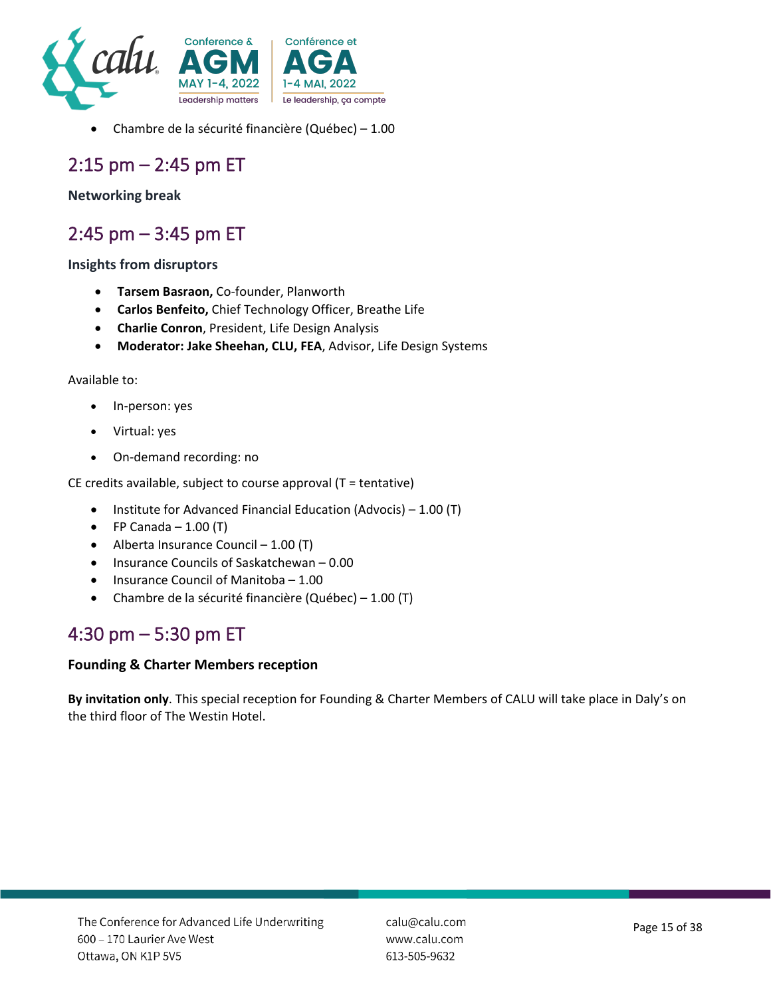

• Chambre de la sécurité financière (Québec) – 1.00

### 2:15 pm – 2:45 pm ET

#### **Networking break**

### 2:45 pm – 3:45 pm ET

#### **Insights from disruptors**

- **Tarsem Basraon,** Co-founder, Planworth
- **Carlos Benfeito,** Chief Technology Officer, Breathe Life
- **Charlie Conron**, President, Life Design Analysis
- **Moderator: Jake Sheehan, CLU, FEA**, Advisor, Life Design Systems

#### Available to:

- In-person: yes
- Virtual: yes
- On-demand recording: no

CE credits available, subject to course approval (T = tentative)

- Institute for Advanced Financial Education (Advocis) 1.00 (T)
- FP Canada  $-1.00$  (T)
- Alberta Insurance Council 1.00 (T)
- Insurance Councils of Saskatchewan 0.00
- Insurance Council of Manitoba 1.00
- Chambre de la sécurité financière (Québec) 1.00 (T)

### 4:30 pm – 5:30 pm ET

#### **Founding & Charter Members reception**

**By invitation only**. This special reception for Founding & Charter Members of CALU will take place in Daly's on the third floor of The Westin Hotel.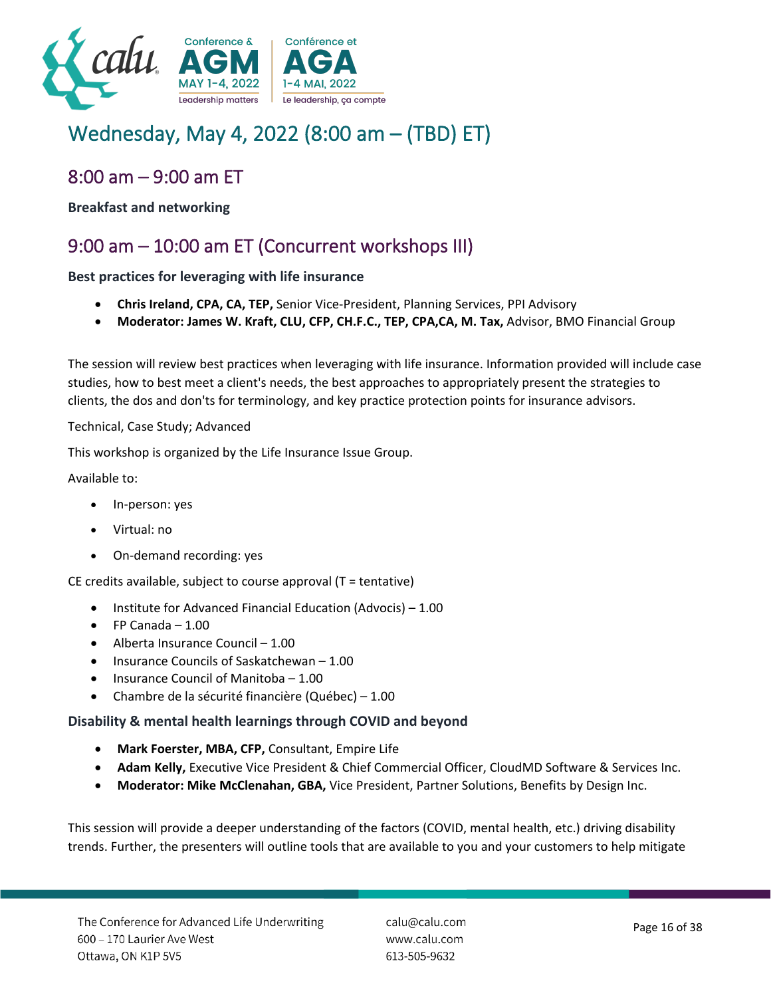

# Wednesday, May 4, 2022 (8:00 am – (TBD) ET)

### 8:00 am – 9:00 am ET

**Breakfast and networking**

# 9:00 am – 10:00 am ET (Concurrent workshops III)

**Best practices for leveraging with life insurance**

- **Chris Ireland, CPA, CA, TEP,** Senior Vice-President, Planning Services, PPI Advisory
- **Moderator: James W. Kraft, CLU, CFP, CH.F.C., TEP, CPA,CA, M. Tax,** Advisor, BMO Financial Group

The session will review best practices when leveraging with life insurance. Information provided will include case studies, how to best meet a client's needs, the best approaches to appropriately present the strategies to clients, the dos and don'ts for terminology, and key practice protection points for insurance advisors.

#### Technical, Case Study; Advanced

This workshop is organized by the Life Insurance Issue Group.

Available to:

- In-person: yes
- Virtual: no
- On-demand recording: yes

CE credits available, subject to course approval (T = tentative)

- Institute for Advanced Financial Education (Advocis) 1.00
- $\bullet$  FP Canada 1.00
- Alberta Insurance Council 1.00
- Insurance Councils of Saskatchewan 1.00
- Insurance Council of Manitoba 1.00
- Chambre de la sécurité financière (Québec) 1.00

#### **Disability & mental health learnings through COVID and beyond**

- **Mark Foerster, MBA, CFP,** Consultant, Empire Life
- **Adam Kelly,** Executive Vice President & Chief Commercial Officer, CloudMD Software & Services Inc.
- **Moderator: Mike McClenahan, GBA,** Vice President, Partner Solutions, Benefits by Design Inc.

This session will provide a deeper understanding of the factors (COVID, mental health, etc.) driving disability trends. Further, the presenters will outline tools that are available to you and your customers to help mitigate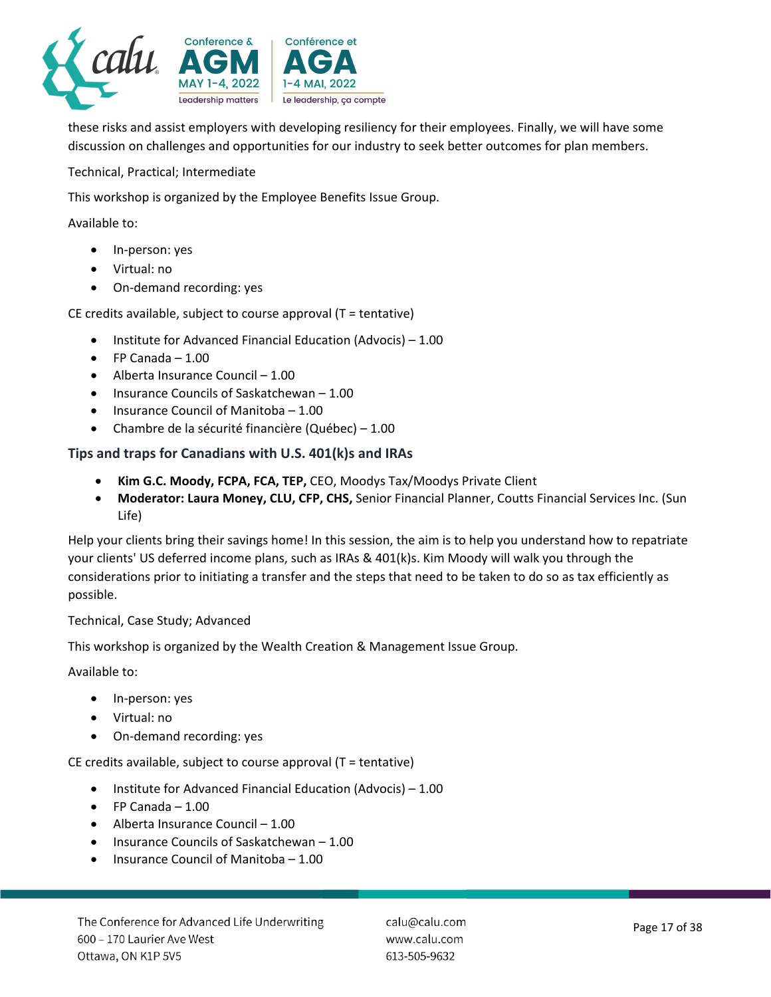

these risks and assist employers with developing resiliency for their employees. Finally, we will have some discussion on challenges and opportunities for our industry to seek better outcomes for plan members.

Technical, Practical; Intermediate

This workshop is organized by the Employee Benefits Issue Group.

Available to:

- In-person: yes
- Virtual: no
- On-demand recording: yes

CE credits available, subject to course approval (T = tentative)

- Institute for Advanced Financial Education (Advocis) 1.00
- $\bullet$  FP Canada 1.00
- Alberta Insurance Council 1.00
- Insurance Councils of Saskatchewan 1.00
- Insurance Council of Manitoba 1.00
- Chambre de la sécurité financière (Québec) 1.00

#### **Tips and traps for Canadians with U.S. 401(k)s and IRAs**

- **Kim G.C. Moody, FCPA, FCA, TEP,** CEO, Moodys Tax/Moodys Private Client
- **Moderator: Laura Money, CLU, CFP, CHS,** Senior Financial Planner, Coutts Financial Services Inc. (Sun Life)

Help your clients bring their savings home! In this session, the aim is to help you understand how to repatriate your clients' US deferred income plans, such as IRAs & 401(k)s. Kim Moody will walk you through the considerations prior to initiating a transfer and the steps that need to be taken to do so as tax efficiently as possible.

#### Technical, Case Study; Advanced

This workshop is organized by the Wealth Creation & Management Issue Group.

Available to:

- In-person: yes
- Virtual: no
- On-demand recording: yes

CE credits available, subject to course approval (T = tentative)

- Institute for Advanced Financial Education (Advocis) 1.00
- $\bullet$  FP Canada 1.00
- Alberta Insurance Council 1.00
- Insurance Councils of Saskatchewan 1.00
- Insurance Council of Manitoba 1.00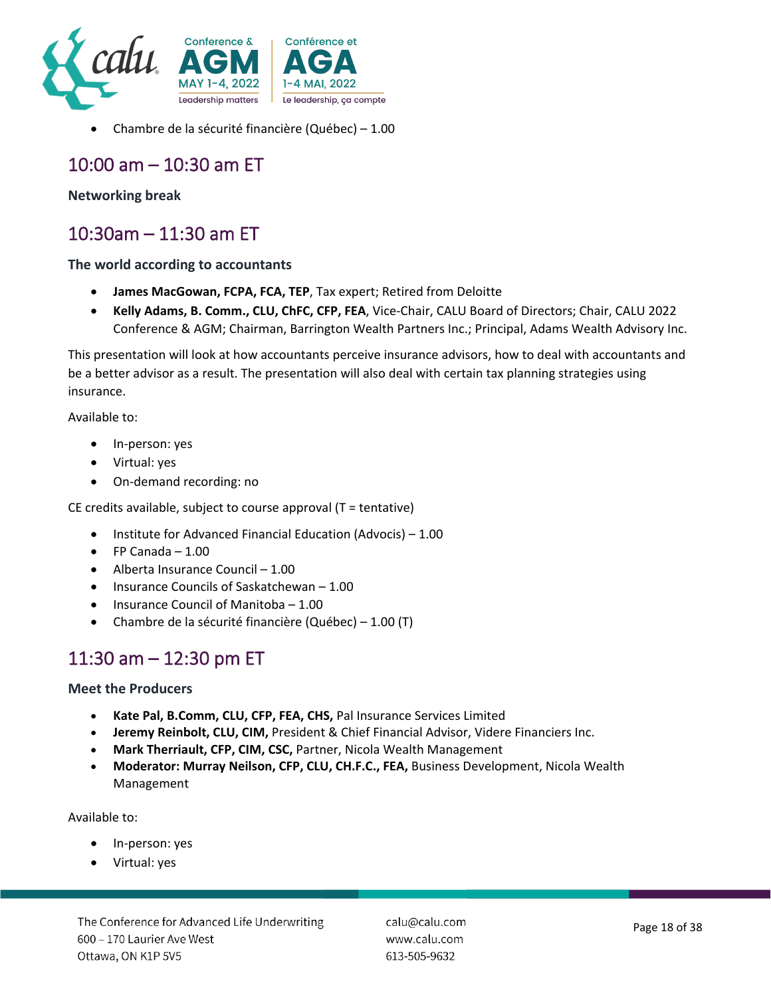

• Chambre de la sécurité financière (Québec) – 1.00

### 10:00 am – 10:30 am ET

#### **Networking break**

### 10:30am – 11:30 am ET

#### **The world according to accountants**

- **James MacGowan, FCPA, FCA, TEP**, Tax expert; Retired from Deloitte
- **Kelly Adams, B. Comm., CLU, ChFC, CFP, FEA**, Vice-Chair, CALU Board of Directors; Chair, CALU 2022 Conference & AGM; Chairman, Barrington Wealth Partners Inc.; Principal, Adams Wealth Advisory Inc.

This presentation will look at how accountants perceive insurance advisors, how to deal with accountants and be a better advisor as a result. The presentation will also deal with certain tax planning strategies using insurance.

Available to:

- In-person: yes
- Virtual: yes
- On-demand recording: no

CE credits available, subject to course approval (T = tentative)

- Institute for Advanced Financial Education (Advocis) 1.00
- $\bullet$  FP Canada 1.00
- Alberta Insurance Council 1.00
- Insurance Councils of Saskatchewan 1.00
- Insurance Council of Manitoba 1.00
- Chambre de la sécurité financière (Québec) 1.00 (T)

### 11:30 am – 12:30 pm ET

#### **Meet the Producers**

- **Kate Pal, B.Comm, CLU, CFP, FEA, CHS,** Pal Insurance Services Limited
- **Jeremy Reinbolt, CLU, CIM,** President & Chief Financial Advisor, Videre Financiers Inc.
- **Mark Therriault, CFP, CIM, CSC,** Partner, Nicola Wealth Management
- **Moderator: Murray Neilson, CFP, CLU, CH.F.C., FEA,** Business Development, Nicola Wealth Management

#### Available to:

- In-person: yes
- Virtual: yes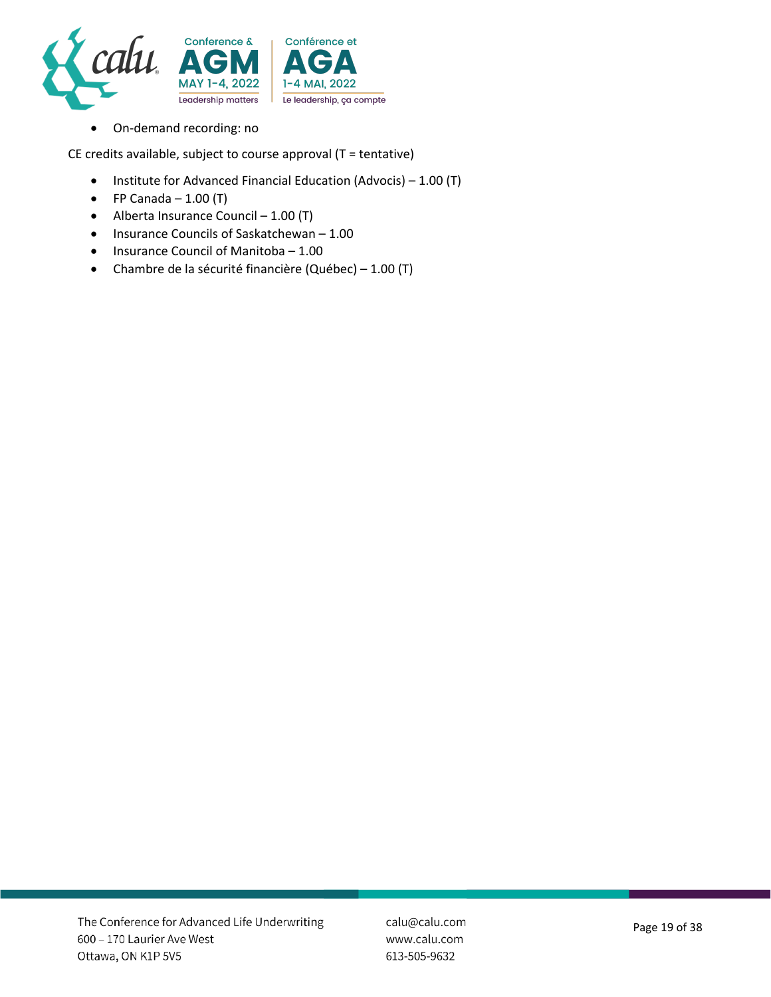

• On-demand recording: no

CE credits available, subject to course approval  $(T = \text{tentative})$ 

- Institute for Advanced Financial Education (Advocis) 1.00 (T)
- FP Canada  $-1.00$  (T)
- Alberta Insurance Council  $-1.00$  (T)
- Insurance Councils of Saskatchewan 1.00
- Insurance Council of Manitoba 1.00
- Chambre de la sécurité financière (Québec) 1.00 (T)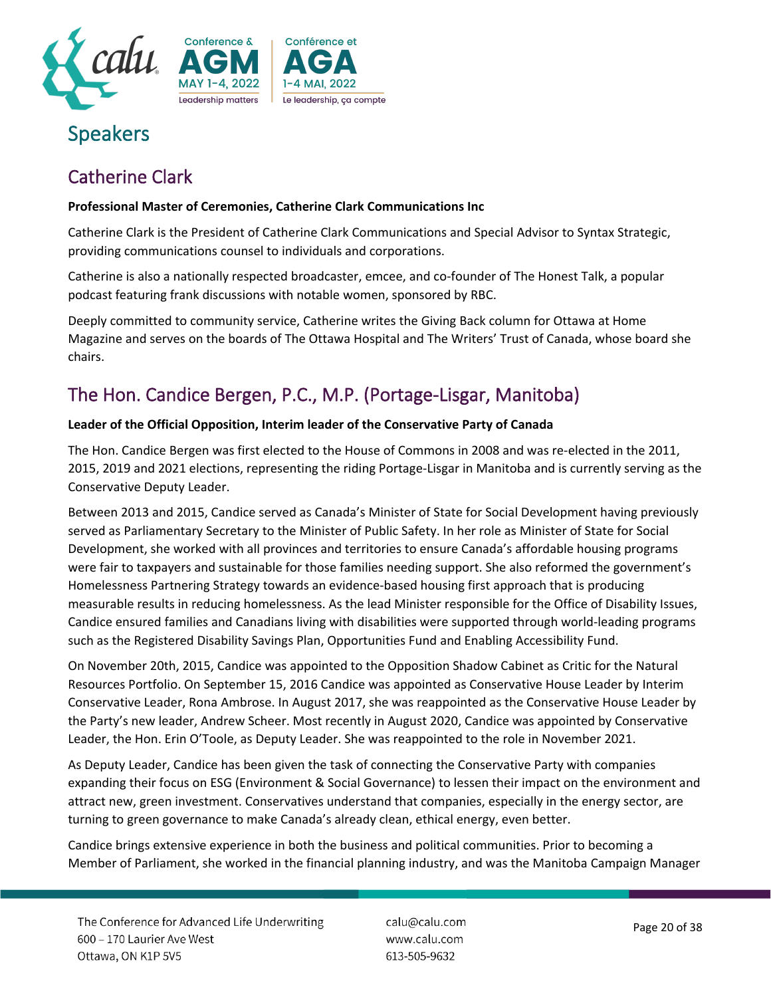

# Speakers

# Catherine Clark

#### **Professional Master of Ceremonies, Catherine Clark Communications Inc**

Catherine Clark is the President of Catherine Clark Communications and Special Advisor to Syntax Strategic, providing communications counsel to individuals and corporations.

Catherine is also a nationally respected broadcaster, emcee, and co-founder of The Honest Talk, a popular podcast featuring frank discussions with notable women, sponsored by RBC.

Deeply committed to community service, Catherine writes the Giving Back column for Ottawa at Home Magazine and serves on the boards of The Ottawa Hospital and The Writers' Trust of Canada, whose board she chairs.

# The Hon. Candice Bergen, P.C., M.P. (Portage-Lisgar, Manitoba)

#### **Leader of the Official Opposition, Interim leader of the Conservative Party of Canada**

The Hon. Candice Bergen was first elected to the House of Commons in 2008 and was re-elected in the 2011, 2015, 2019 and 2021 elections, representing the riding Portage-Lisgar in Manitoba and is currently serving as the Conservative Deputy Leader.

Between 2013 and 2015, Candice served as Canada's Minister of State for Social Development having previously served as Parliamentary Secretary to the Minister of Public Safety. In her role as Minister of State for Social Development, she worked with all provinces and territories to ensure Canada's affordable housing programs were fair to taxpayers and sustainable for those families needing support. She also reformed the government's Homelessness Partnering Strategy towards an evidence-based housing first approach that is producing measurable results in reducing homelessness. As the lead Minister responsible for the Office of Disability Issues, Candice ensured families and Canadians living with disabilities were supported through world-leading programs such as the Registered Disability Savings Plan, Opportunities Fund and Enabling Accessibility Fund.

On November 20th, 2015, Candice was appointed to the Opposition Shadow Cabinet as Critic for the Natural Resources Portfolio. On September 15, 2016 Candice was appointed as Conservative House Leader by Interim Conservative Leader, Rona Ambrose. In August 2017, she was reappointed as the Conservative House Leader by the Party's new leader, Andrew Scheer. Most recently in August 2020, Candice was appointed by Conservative Leader, the Hon. Erin O'Toole, as Deputy Leader. She was reappointed to the role in November 2021.

As Deputy Leader, Candice has been given the task of connecting the Conservative Party with companies expanding their focus on ESG (Environment & Social Governance) to lessen their impact on the environment and attract new, green investment. Conservatives understand that companies, especially in the energy sector, are turning to green governance to make Canada's already clean, ethical energy, even better.

Candice brings extensive experience in both the business and political communities. Prior to becoming a Member of Parliament, she worked in the financial planning industry, and was the Manitoba Campaign Manager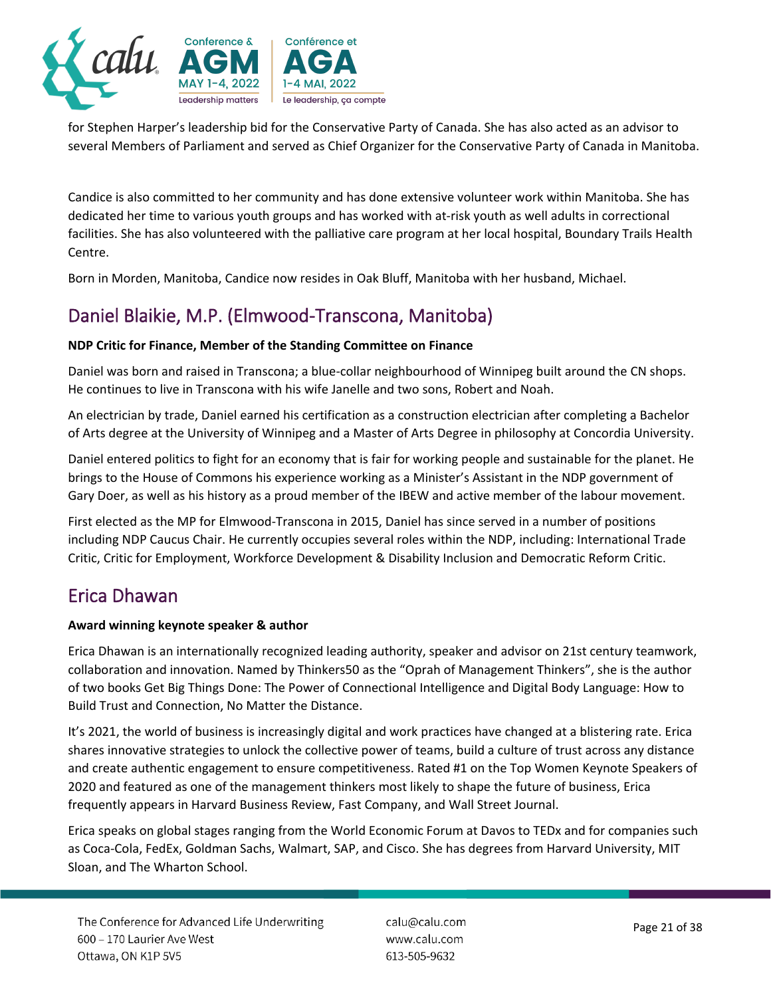

for Stephen Harper's leadership bid for the Conservative Party of Canada. She has also acted as an advisor to several Members of Parliament and served as Chief Organizer for the Conservative Party of Canada in Manitoba.

Candice is also committed to her community and has done extensive volunteer work within Manitoba. She has dedicated her time to various youth groups and has worked with at-risk youth as well adults in correctional facilities. She has also volunteered with the palliative care program at her local hospital, Boundary Trails Health Centre.

Born in Morden, Manitoba, Candice now resides in Oak Bluff, Manitoba with her husband, Michael.

# Daniel Blaikie, M.P. (Elmwood-Transcona, Manitoba)

#### **NDP Critic for Finance, Member of the Standing Committee on Finance**

Daniel was born and raised in Transcona; a blue-collar neighbourhood of Winnipeg built around the CN shops. He continues to live in Transcona with his wife Janelle and two sons, Robert and Noah.

An electrician by trade, Daniel earned his certification as a construction electrician after completing a Bachelor of Arts degree at the University of Winnipeg and a Master of Arts Degree in philosophy at Concordia University.

Daniel entered politics to fight for an economy that is fair for working people and sustainable for the planet. He brings to the House of Commons his experience working as a Minister's Assistant in the NDP government of Gary Doer, as well as his history as a proud member of the IBEW and active member of the labour movement.

First elected as the MP for Elmwood-Transcona in 2015, Daniel has since served in a number of positions including NDP Caucus Chair. He currently occupies several roles within the NDP, including: International Trade Critic, Critic for Employment, Workforce Development & Disability Inclusion and Democratic Reform Critic.

### Erica Dhawan

#### **Award winning keynote speaker & author**

Erica Dhawan is an internationally recognized leading authority, speaker and advisor on 21st century teamwork, collaboration and innovation. Named by Thinkers50 as the "Oprah of Management Thinkers", she is the author of two books Get Big Things Done: The Power of Connectional Intelligence and Digital Body Language: How to Build Trust and Connection, No Matter the Distance.

It's 2021, the world of business is increasingly digital and work practices have changed at a blistering rate. Erica shares innovative strategies to unlock the collective power of teams, build a culture of trust across any distance and create authentic engagement to ensure competitiveness. Rated #1 on the Top Women Keynote Speakers of 2020 and featured as one of the management thinkers most likely to shape the future of business, Erica frequently appears in Harvard Business Review, Fast Company, and Wall Street Journal.

Erica speaks on global stages ranging from the World Economic Forum at Davos to TEDx and for companies such as Coca-Cola, FedEx, Goldman Sachs, Walmart, SAP, and Cisco. She has degrees from Harvard University, MIT Sloan, and The Wharton School.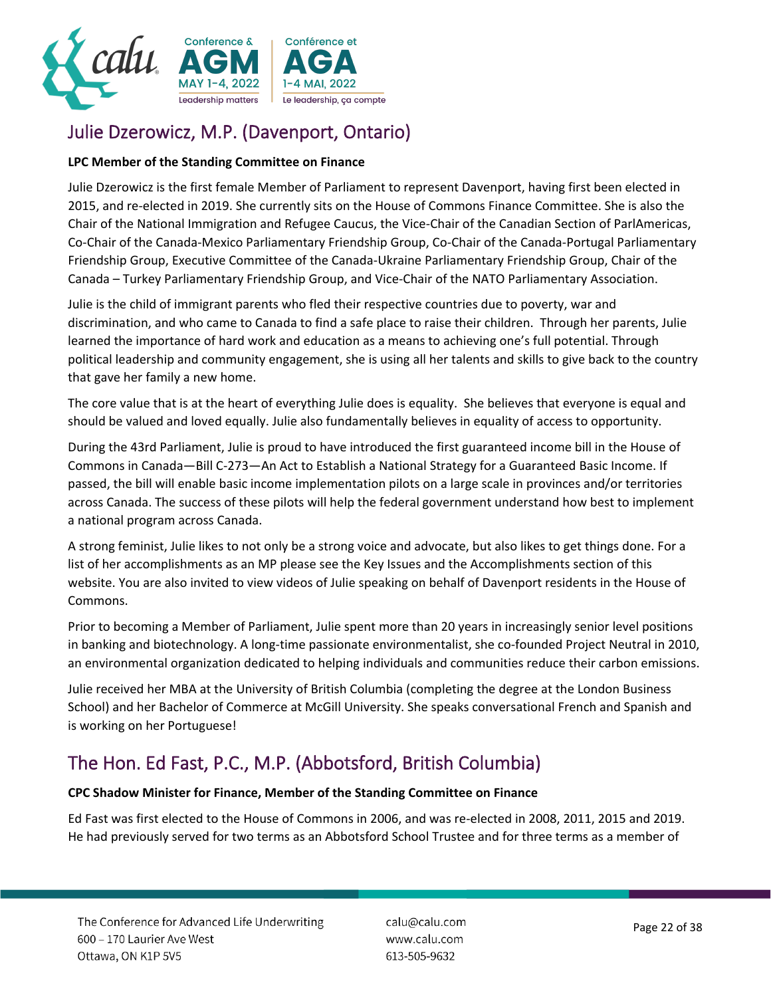

# Julie Dzerowicz, M.P. (Davenport, Ontario)

#### **LPC Member of the Standing Committee on Finance**

Julie Dzerowicz is the first female Member of Parliament to represent Davenport, having first been elected in 2015, and re-elected in 2019. She currently sits on the House of Commons Finance Committee. She is also the Chair of the National Immigration and Refugee Caucus, the Vice-Chair of the Canadian Section of ParlAmericas, Co-Chair of the Canada-Mexico Parliamentary Friendship Group, Co-Chair of the Canada-Portugal Parliamentary Friendship Group, Executive Committee of the Canada-Ukraine Parliamentary Friendship Group, Chair of the Canada – Turkey Parliamentary Friendship Group, and Vice-Chair of the NATO Parliamentary Association.

Julie is the child of immigrant parents who fled their respective countries due to poverty, war and discrimination, and who came to Canada to find a safe place to raise their children. Through her parents, Julie learned the importance of hard work and education as a means to achieving one's full potential. Through political leadership and community engagement, she is using all her talents and skills to give back to the country that gave her family a new home.

The core value that is at the heart of everything Julie does is equality. She believes that everyone is equal and should be valued and loved equally. Julie also fundamentally believes in equality of access to opportunity.

During the 43rd Parliament, Julie is proud to have introduced the first guaranteed income bill in the House of Commons in Canada—Bill C-273—An Act to Establish a National Strategy for a Guaranteed Basic Income. If passed, the bill will enable basic income implementation pilots on a large scale in provinces and/or territories across Canada. The success of these pilots will help the federal government understand how best to implement a national program across Canada.

A strong feminist, Julie likes to not only be a strong voice and advocate, but also likes to get things done. For a list of her accomplishments as an MP please see the Key Issues and the Accomplishments section of this website. You are also invited to view videos of Julie speaking on behalf of Davenport residents in the House of Commons.

Prior to becoming a Member of Parliament, Julie spent more than 20 years in increasingly senior level positions in banking and biotechnology. A long-time passionate environmentalist, she co-founded Project Neutral in 2010, an environmental organization dedicated to helping individuals and communities reduce their carbon emissions.

Julie received her MBA at the University of British Columbia (completing the degree at the London Business School) and her Bachelor of Commerce at McGill University. She speaks conversational French and Spanish and is working on her Portuguese!

# The Hon. Ed Fast, P.C., M.P. (Abbotsford, British Columbia)

#### **CPC Shadow Minister for Finance, Member of the Standing Committee on Finance**

Ed Fast was first elected to the House of Commons in 2006, and was re-elected in 2008, 2011, 2015 and 2019. He had previously served for two terms as an Abbotsford School Trustee and for three terms as a member of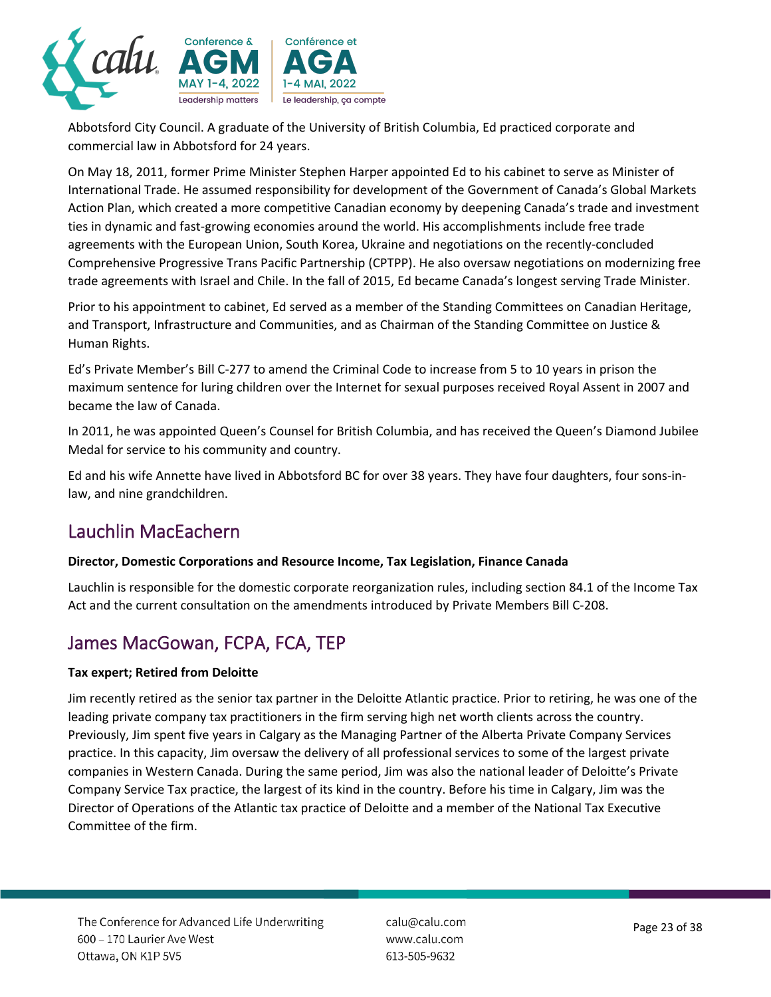

Abbotsford City Council. A graduate of the University of British Columbia, Ed practiced corporate and commercial law in Abbotsford for 24 years.

On May 18, 2011, former Prime Minister Stephen Harper appointed Ed to his cabinet to serve as Minister of International Trade. He assumed responsibility for development of the Government of Canada's Global Markets Action Plan, which created a more competitive Canadian economy by deepening Canada's trade and investment ties in dynamic and fast-growing economies around the world. His accomplishments include free trade agreements with the European Union, South Korea, Ukraine and negotiations on the recently-concluded Comprehensive Progressive Trans Pacific Partnership (CPTPP). He also oversaw negotiations on modernizing free trade agreements with Israel and Chile. In the fall of 2015, Ed became Canada's longest serving Trade Minister.

Prior to his appointment to cabinet, Ed served as a member of the Standing Committees on Canadian Heritage, and Transport, Infrastructure and Communities, and as Chairman of the Standing Committee on Justice & Human Rights.

Ed's Private Member's Bill C-277 to amend the Criminal Code to increase from 5 to 10 years in prison the maximum sentence for luring children over the Internet for sexual purposes received Royal Assent in 2007 and became the law of Canada.

In 2011, he was appointed Queen's Counsel for British Columbia, and has received the Queen's Diamond Jubilee Medal for service to his community and country.

Ed and his wife Annette have lived in Abbotsford BC for over 38 years. They have four daughters, four sons-inlaw, and nine grandchildren.

### Lauchlin MacEachern

#### **Director, Domestic Corporations and Resource Income, Tax Legislation, Finance Canada**

Lauchlin is responsible for the domestic corporate reorganization rules, including section 84.1 of the Income Tax Act and the current consultation on the amendments introduced by Private Members Bill C-208.

# James MacGowan, FCPA, FCA, TEP

#### **Tax expert; Retired from Deloitte**

Jim recently retired as the senior tax partner in the Deloitte Atlantic practice. Prior to retiring, he was one of the leading private company tax practitioners in the firm serving high net worth clients across the country. Previously, Jim spent five years in Calgary as the Managing Partner of the Alberta Private Company Services practice. In this capacity, Jim oversaw the delivery of all professional services to some of the largest private companies in Western Canada. During the same period, Jim was also the national leader of Deloitte's Private Company Service Tax practice, the largest of its kind in the country. Before his time in Calgary, Jim was the Director of Operations of the Atlantic tax practice of Deloitte and a member of the National Tax Executive Committee of the firm.

calu@calu.com www.calu.com 613-505-9632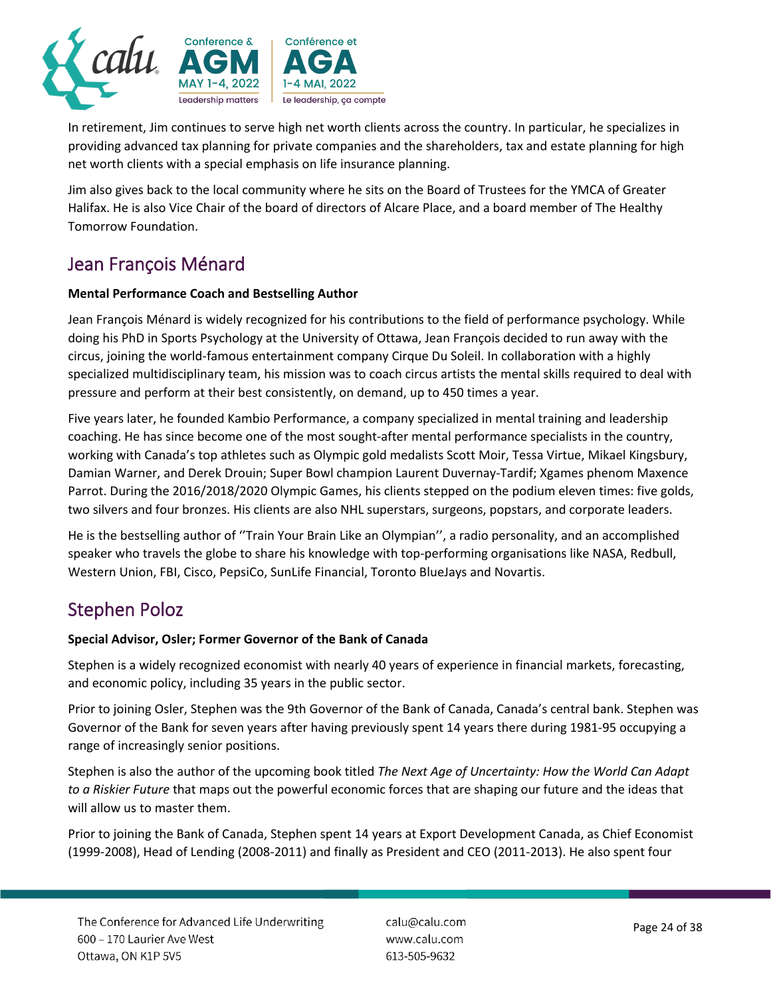

In retirement, Jim continues to serve high net worth clients across the country. In particular, he specializes in providing advanced tax planning for private companies and the shareholders, tax and estate planning for high net worth clients with a special emphasis on life insurance planning.

Jim also gives back to the local community where he sits on the Board of Trustees for the YMCA of Greater Halifax. He is also Vice Chair of the board of directors of Alcare Place, and a board member of The Healthy Tomorrow Foundation.

# Jean François Ménard

#### **Mental Performance Coach and Bestselling Author**

Jean François Ménard is widely recognized for his contributions to the field of performance psychology. While doing his PhD in Sports Psychology at the University of Ottawa, Jean François decided to run away with the circus, joining the world-famous entertainment company Cirque Du Soleil. In collaboration with a highly specialized multidisciplinary team, his mission was to coach circus artists the mental skills required to deal with pressure and perform at their best consistently, on demand, up to 450 times a year.

Five years later, he founded Kambio Performance, a company specialized in mental training and leadership coaching. He has since become one of the most sought-after mental performance specialists in the country, working with Canada's top athletes such as Olympic gold medalists Scott Moir, Tessa Virtue, Mikael Kingsbury, Damian Warner, and Derek Drouin; Super Bowl champion Laurent Duvernay-Tardif; Xgames phenom Maxence Parrot. During the 2016/2018/2020 Olympic Games, his clients stepped on the podium eleven times: five golds, two silvers and four bronzes. His clients are also NHL superstars, surgeons, popstars, and corporate leaders.

He is the bestselling author of ''Train Your Brain Like an Olympian'', a radio personality, and an accomplished speaker who travels the globe to share his knowledge with top-performing organisations like NASA, Redbull, Western Union, FBI, Cisco, PepsiCo, SunLife Financial, Toronto BlueJays and Novartis.

### Stephen Poloz

#### **Special Advisor, Osler; Former Governor of the Bank of Canada**

Stephen is a widely recognized economist with nearly 40 years of experience in financial markets, forecasting, and economic policy, including 35 years in the public sector.

Prior to joining Osler, Stephen was the 9th Governor of the Bank of Canada, Canada's central bank. Stephen was Governor of the Bank for seven years after having previously spent 14 years there during 1981-95 occupying a range of increasingly senior positions.

Stephen is also the author of the upcoming book titled *The Next Age of Uncertainty: How the World Can Adapt to a Riskier Future* that maps out the powerful economic forces that are shaping our future and the ideas that will allow us to master them.

Prior to joining the Bank of Canada, Stephen spent 14 years at Export Development Canada, as Chief Economist (1999-2008), Head of Lending (2008-2011) and finally as President and CEO (2011-2013). He also spent four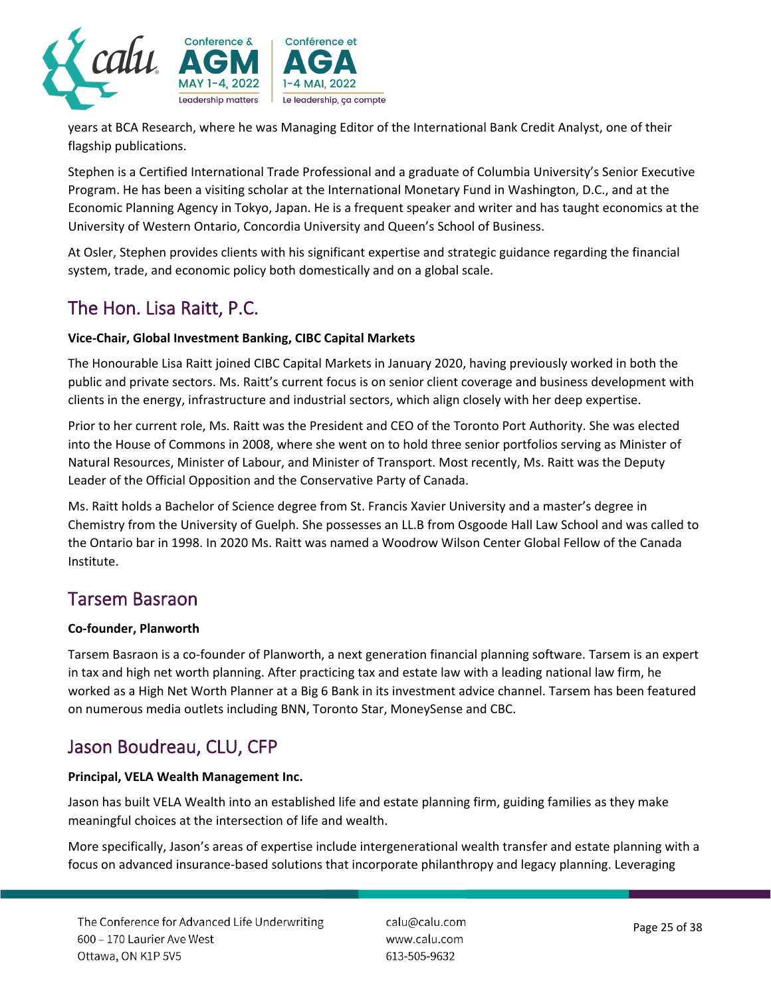

years at BCA Research, where he was Managing Editor of the International Bank Credit Analyst, one of their flagship publications.

Stephen is a Certified International Trade Professional and a graduate of Columbia University's Senior Executive Program. He has been a visiting scholar at the International Monetary Fund in Washington, D.C., and at the Economic Planning Agency in Tokyo, Japan. He is a frequent speaker and writer and has taught economics at the University of Western Ontario, Concordia University and Queen's School of Business.

At Osler, Stephen provides clients with his significant expertise and strategic guidance regarding the financial system, trade, and economic policy both domestically and on a global scale.

# The Hon. Lisa Raitt, P.C.

#### **Vice-Chair, Global Investment Banking, CIBC Capital Markets**

The Honourable Lisa Raitt joined CIBC Capital Markets in January 2020, having previously worked in both the public and private sectors. Ms. Raitt's current focus is on senior client coverage and business development with clients in the energy, infrastructure and industrial sectors, which align closely with her deep expertise.

Prior to her current role, Ms. Raitt was the President and CEO of the Toronto Port Authority. She was elected into the House of Commons in 2008, where she went on to hold three senior portfolios serving as Minister of Natural Resources, Minister of Labour, and Minister of Transport. Most recently, Ms. Raitt was the Deputy Leader of the Official Opposition and the Conservative Party of Canada.

Ms. Raitt holds a Bachelor of Science degree from St. Francis Xavier University and a master's degree in Chemistry from the University of Guelph. She possesses an LL.B from Osgoode Hall Law School and was called to the Ontario bar in 1998. In 2020 Ms. Raitt was named a Woodrow Wilson Center Global Fellow of the Canada Institute.

### Tarsem Basraon

#### **Co-founder, Planworth**

Tarsem Basraon is a co-founder of Planworth, a next generation financial planning software. Tarsem is an expert in tax and high net worth planning. After practicing tax and estate law with a leading national law firm, he worked as a High Net Worth Planner at a Big 6 Bank in its investment advice channel. Tarsem has been featured on numerous media outlets including BNN, Toronto Star, MoneySense and CBC.

### Jason Boudreau, CLU, CFP

#### **Principal, VELA Wealth Management Inc.**

Jason has built VELA Wealth into an established life and estate planning firm, guiding families as they make meaningful choices at the intersection of life and wealth.

More specifically, Jason's areas of expertise include intergenerational wealth transfer and estate planning with a focus on advanced insurance-based solutions that incorporate philanthropy and legacy planning. Leveraging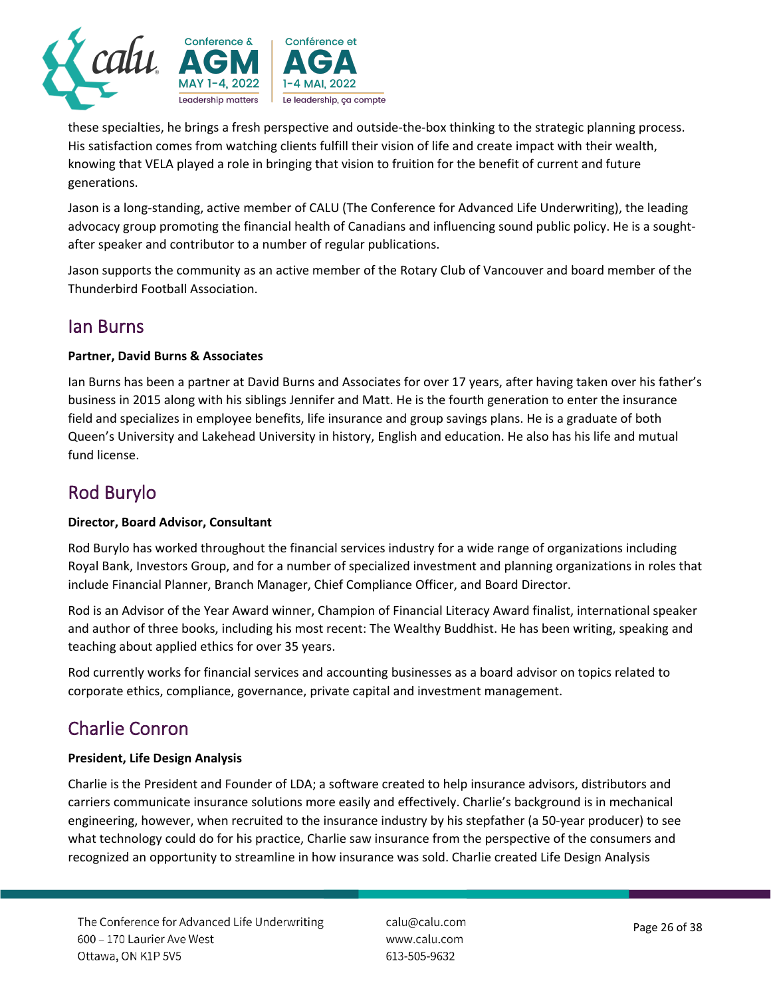

these specialties, he brings a fresh perspective and outside-the-box thinking to the strategic planning process. His satisfaction comes from watching clients fulfill their vision of life and create impact with their wealth, knowing that VELA played a role in bringing that vision to fruition for the benefit of current and future generations.

Jason is a long-standing, active member of CALU (The Conference for Advanced Life Underwriting), the leading advocacy group promoting the financial health of Canadians and influencing sound public policy. He is a soughtafter speaker and contributor to a number of regular publications.

Jason supports the community as an active member of the Rotary Club of Vancouver and board member of the Thunderbird Football Association.

### Ian Burns

#### **Partner, David Burns & Associates**

Ian Burns has been a partner at David Burns and Associates for over 17 years, after having taken over his father's business in 2015 along with his siblings Jennifer and Matt. He is the fourth generation to enter the insurance field and specializes in employee benefits, life insurance and group savings plans. He is a graduate of both Queen's University and Lakehead University in history, English and education. He also has his life and mutual fund license.

# Rod Burylo

#### **Director, Board Advisor, Consultant**

Rod Burylo has worked throughout the financial services industry for a wide range of organizations including Royal Bank, Investors Group, and for a number of specialized investment and planning organizations in roles that include Financial Planner, Branch Manager, Chief Compliance Officer, and Board Director.

Rod is an Advisor of the Year Award winner, Champion of Financial Literacy Award finalist, international speaker and author of three books, including his most recent: The Wealthy Buddhist. He has been writing, speaking and teaching about applied ethics for over 35 years.

Rod currently works for financial services and accounting businesses as a board advisor on topics related to corporate ethics, compliance, governance, private capital and investment management.

# Charlie Conron

#### **President, Life Design Analysis**

Charlie is the President and Founder of LDA; a software created to help insurance advisors, distributors and carriers communicate insurance solutions more easily and effectively. Charlie's background is in mechanical engineering, however, when recruited to the insurance industry by his stepfather (a 50-year producer) to see what technology could do for his practice, Charlie saw insurance from the perspective of the consumers and recognized an opportunity to streamline in how insurance was sold. Charlie created Life Design Analysis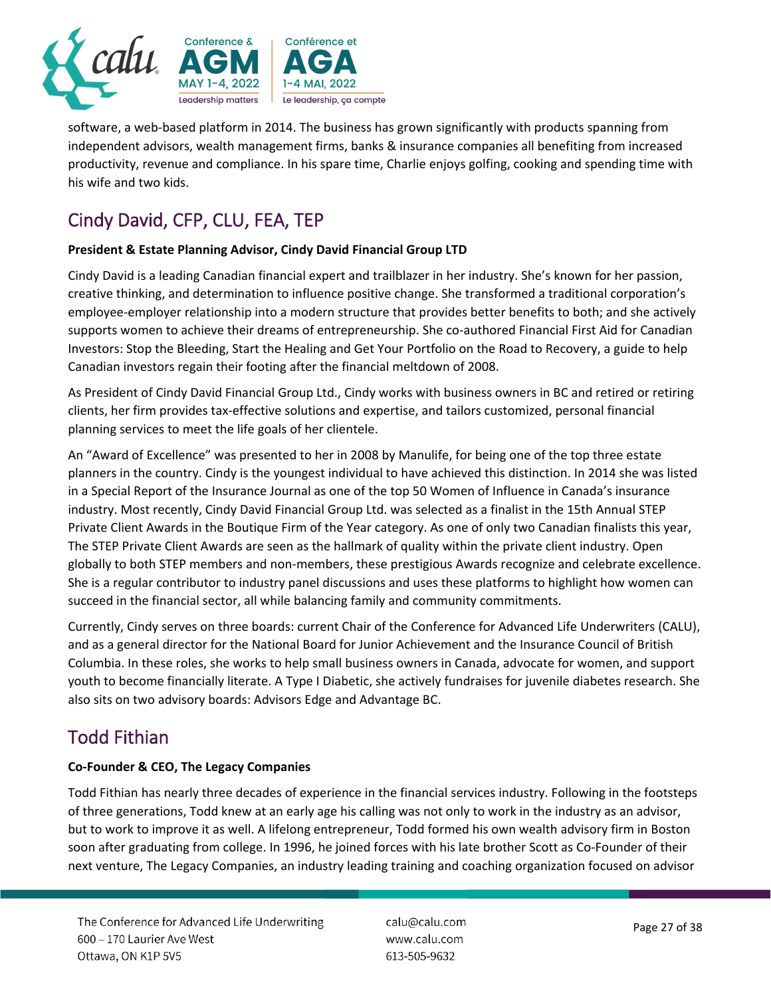

software, a web-based platform in 2014. The business has grown significantly with products spanning from independent advisors, wealth management firms, banks & insurance companies all benefiting from increased productivity, revenue and compliance. In his spare time, Charlie enjoys golfing, cooking and spending time with his wife and two kids.

# Cindy David, CFP, CLU, FEA, TEP

#### **President & Estate Planning Advisor, Cindy David Financial Group LTD**

Cindy David is a leading Canadian financial expert and trailblazer in her industry. She's known for her passion, creative thinking, and determination to influence positive change. She transformed a traditional corporation's employee-employer relationship into a modern structure that provides better benefits to both; and she actively supports women to achieve their dreams of entrepreneurship. She co-authored Financial First Aid for Canadian Investors: Stop the Bleeding, Start the Healing and Get Your Portfolio on the Road to Recovery, a guide to help Canadian investors regain their footing after the financial meltdown of 2008.

As President of Cindy David Financial Group Ltd., Cindy works with business owners in BC and retired or retiring clients, her firm provides tax-effective solutions and expertise, and tailors customized, personal financial planning services to meet the life goals of her clientele.

An "Award of Excellence" was presented to her in 2008 by Manulife, for being one of the top three estate planners in the country. Cindy is the youngest individual to have achieved this distinction. In 2014 she was listed in a Special Report of the Insurance Journal as one of the top 50 Women of Influence in Canada's insurance industry. Most recently, Cindy David Financial Group Ltd. was selected as a finalist in the 15th Annual STEP Private Client Awards in the Boutique Firm of the Year category. As one of only two Canadian finalists this year, The STEP Private Client Awards are seen as the hallmark of quality within the private client industry. Open globally to both STEP members and non-members, these prestigious Awards recognize and celebrate excellence. She is a regular contributor to industry panel discussions and uses these platforms to highlight how women can succeed in the financial sector, all while balancing family and community commitments.

Currently, Cindy serves on three boards: current Chair of the Conference for Advanced Life Underwriters (CALU), and as a general director for the National Board for Junior Achievement and the Insurance Council of British Columbia. In these roles, she works to help small business owners in Canada, advocate for women, and support youth to become financially literate. A Type I Diabetic, she actively fundraises for juvenile diabetes research. She also sits on two advisory boards: Advisors Edge and Advantage BC.

# Todd Fithian

#### **Co-Founder & CEO, The Legacy Companies**

Todd Fithian has nearly three decades of experience in the financial services industry. Following in the footsteps of three generations, Todd knew at an early age his calling was not only to work in the industry as an advisor, but to work to improve it as well. A lifelong entrepreneur, Todd formed his own wealth advisory firm in Boston soon after graduating from college. In 1996, he joined forces with his late brother Scott as Co-Founder of their next venture, The Legacy Companies, an industry leading training and coaching organization focused on advisor

The Conference for Advanced Life Underwriting 600 - 170 Laurier Ave West Ottawa, ON K1P 5V5

calu@calu.com www.calu.com 613-505-9632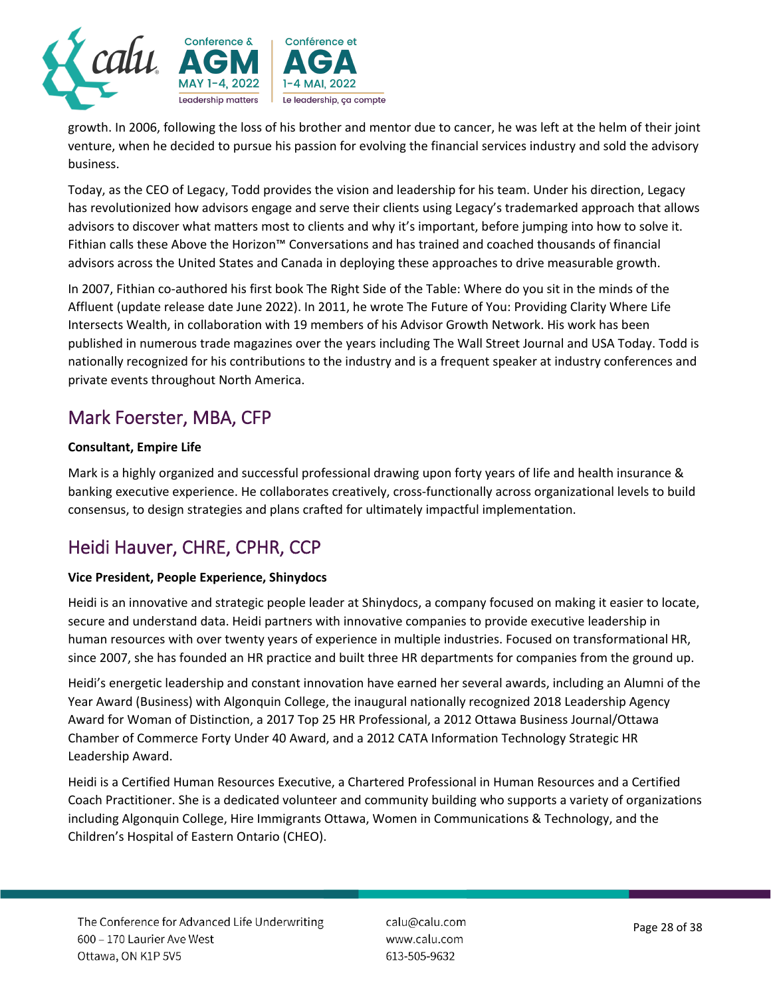

growth. In 2006, following the loss of his brother and mentor due to cancer, he was left at the helm of their joint venture, when he decided to pursue his passion for evolving the financial services industry and sold the advisory business.

Today, as the CEO of Legacy, Todd provides the vision and leadership for his team. Under his direction, Legacy has revolutionized how advisors engage and serve their clients using Legacy's trademarked approach that allows advisors to discover what matters most to clients and why it's important, before jumping into how to solve it. Fithian calls these Above the Horizon™ Conversations and has trained and coached thousands of financial advisors across the United States and Canada in deploying these approaches to drive measurable growth.

In 2007, Fithian co-authored his first book The Right Side of the Table: Where do you sit in the minds of the Affluent (update release date June 2022). In 2011, he wrote The Future of You: Providing Clarity Where Life Intersects Wealth, in collaboration with 19 members of his Advisor Growth Network. His work has been published in numerous trade magazines over the years including The Wall Street Journal and USA Today. Todd is nationally recognized for his contributions to the industry and is a frequent speaker at industry conferences and private events throughout North America.

# Mark Foerster, MBA, CFP

#### **Consultant, Empire Life**

Mark is a highly organized and successful professional drawing upon forty years of life and health insurance & banking executive experience. He collaborates creatively, cross-functionally across organizational levels to build consensus, to design strategies and plans crafted for ultimately impactful implementation.

# Heidi Hauver, CHRE, CPHR, CCP

#### **Vice President, People Experience, Shinydocs**

Heidi is an innovative and strategic people leader at Shinydocs, a company focused on making it easier to locate, secure and understand data. Heidi partners with innovative companies to provide executive leadership in human resources with over twenty years of experience in multiple industries. Focused on transformational HR, since 2007, she has founded an HR practice and built three HR departments for companies from the ground up.

Heidi's energetic leadership and constant innovation have earned her several awards, including an Alumni of the Year Award (Business) with Algonquin College, the inaugural nationally recognized 2018 Leadership Agency Award for Woman of Distinction, a 2017 Top 25 HR Professional, a 2012 Ottawa Business Journal/Ottawa Chamber of Commerce Forty Under 40 Award, and a 2012 CATA Information Technology Strategic HR Leadership Award.

Heidi is a Certified Human Resources Executive, a Chartered Professional in Human Resources and a Certified Coach Practitioner. She is a dedicated volunteer and community building who supports a variety of organizations including Algonquin College, Hire Immigrants Ottawa, Women in Communications & Technology, and the Children's Hospital of Eastern Ontario (CHEO).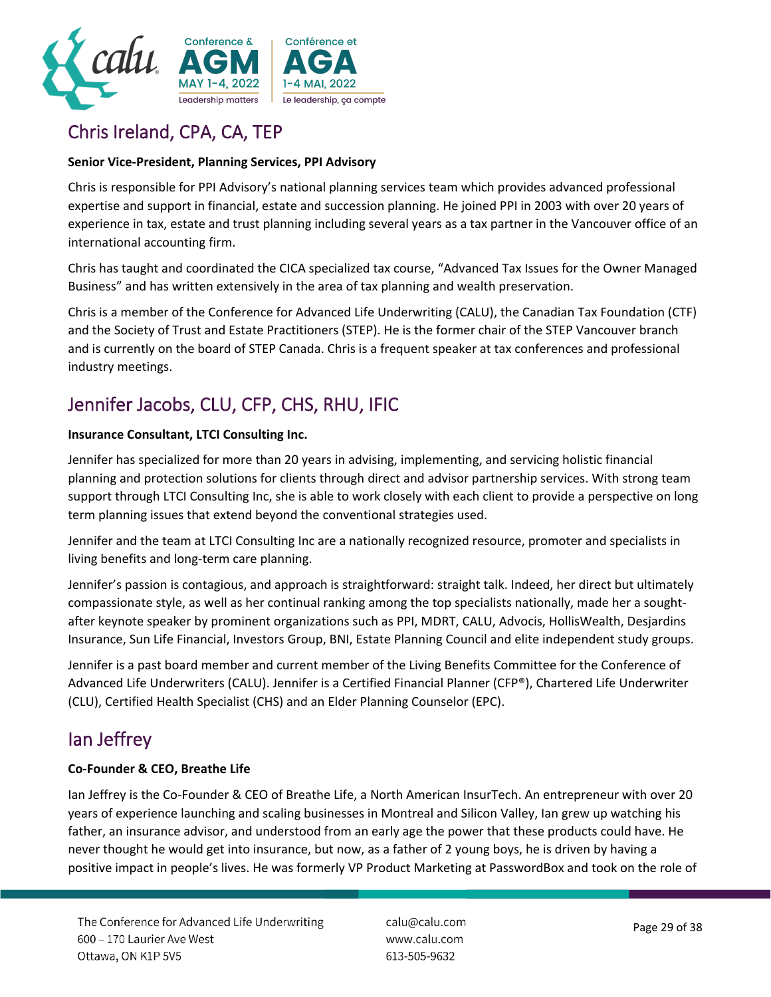

# Chris Ireland, CPA, CA, TEP

#### **Senior Vice-President, Planning Services, PPI Advisory**

Chris is responsible for PPI Advisory's national planning services team which provides advanced professional expertise and support in financial, estate and succession planning. He joined PPI in 2003 with over 20 years of experience in tax, estate and trust planning including several years as a tax partner in the Vancouver office of an international accounting firm.

Chris has taught and coordinated the CICA specialized tax course, "Advanced Tax Issues for the Owner Managed Business" and has written extensively in the area of tax planning and wealth preservation.

Chris is a member of the Conference for Advanced Life Underwriting (CALU), the Canadian Tax Foundation (CTF) and the Society of Trust and Estate Practitioners (STEP). He is the former chair of the STEP Vancouver branch and is currently on the board of STEP Canada. Chris is a frequent speaker at tax conferences and professional industry meetings.

# Jennifer Jacobs, CLU, CFP, CHS, RHU, IFIC

#### **Insurance Consultant, LTCI Consulting Inc.**

Jennifer has specialized for more than 20 years in advising, implementing, and servicing holistic financial planning and protection solutions for clients through direct and advisor partnership services. With strong team support through LTCI Consulting Inc, she is able to work closely with each client to provide a perspective on long term planning issues that extend beyond the conventional strategies used.

Jennifer and the team at LTCI Consulting Inc are a nationally recognized resource, promoter and specialists in living benefits and long-term care planning.

Jennifer's passion is contagious, and approach is straightforward: straight talk. Indeed, her direct but ultimately compassionate style, as well as her continual ranking among the top specialists nationally, made her a soughtafter keynote speaker by prominent organizations such as PPI, MDRT, CALU, Advocis, HollisWealth, Desjardins Insurance, Sun Life Financial, Investors Group, BNI, Estate Planning Council and elite independent study groups.

Jennifer is a past board member and current member of the Living Benefits Committee for the Conference of Advanced Life Underwriters (CALU). Jennifer is a Certified Financial Planner (CFP®), Chartered Life Underwriter (CLU), Certified Health Specialist (CHS) and an Elder Planning Counselor (EPC).

### Ian Jeffrey

#### **Co-Founder & CEO, Breathe Life**

Ian Jeffrey is the Co-Founder & CEO of Breathe Life, a North American InsurTech. An entrepreneur with over 20 years of experience launching and scaling businesses in Montreal and Silicon Valley, Ian grew up watching his father, an insurance advisor, and understood from an early age the power that these products could have. He never thought he would get into insurance, but now, as a father of 2 young boys, he is driven by having a positive impact in people's lives. He was formerly VP Product Marketing at PasswordBox and took on the role of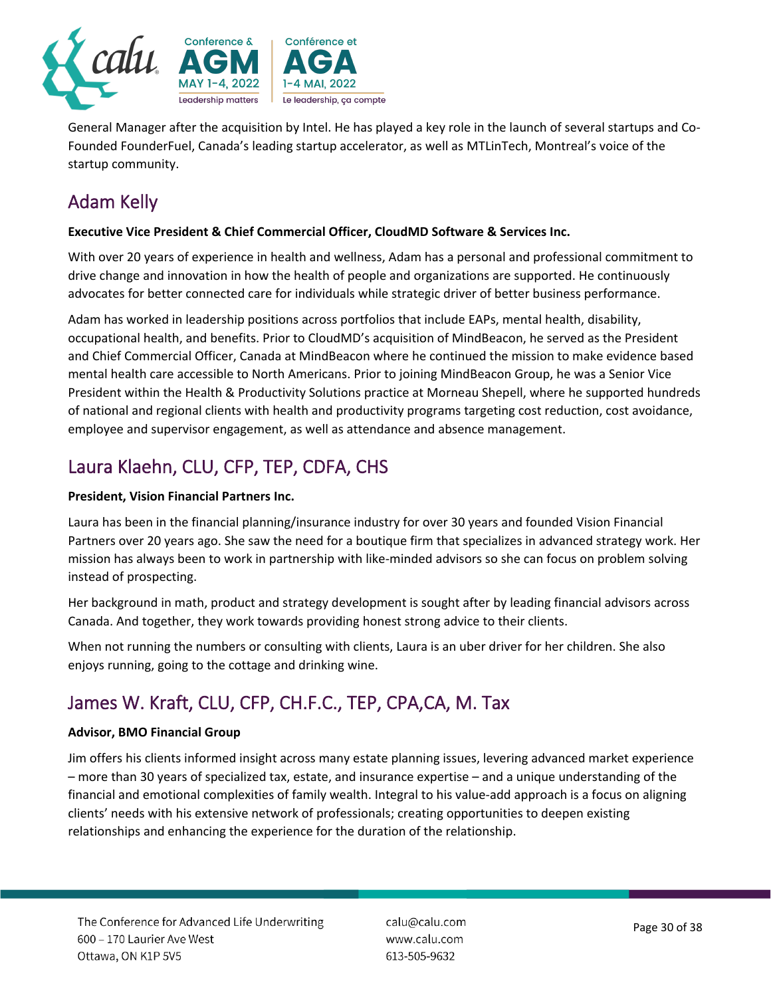

General Manager after the acquisition by Intel. He has played a key role in the launch of several startups and Co-Founded FounderFuel, Canada's leading startup accelerator, as well as MTLinTech, Montreal's voice of the startup community.

# Adam Kelly

#### **Executive Vice President & Chief Commercial Officer, CloudMD Software & Services Inc.**

With over 20 years of experience in health and wellness, Adam has a personal and professional commitment to drive change and innovation in how the health of people and organizations are supported. He continuously advocates for better connected care for individuals while strategic driver of better business performance.

Adam has worked in leadership positions across portfolios that include EAPs, mental health, disability, occupational health, and benefits. Prior to CloudMD's acquisition of MindBeacon, he served as the President and Chief Commercial Officer, Canada at MindBeacon where he continued the mission to make evidence based mental health care accessible to North Americans. Prior to joining MindBeacon Group, he was a Senior Vice President within the Health & Productivity Solutions practice at Morneau Shepell, where he supported hundreds of national and regional clients with health and productivity programs targeting cost reduction, cost avoidance, employee and supervisor engagement, as well as attendance and absence management.

# Laura Klaehn, CLU, CFP, TEP, CDFA, CHS

#### **President, Vision Financial Partners Inc.**

Laura has been in the financial planning/insurance industry for over 30 years and founded Vision Financial Partners over 20 years ago. She saw the need for a boutique firm that specializes in advanced strategy work. Her mission has always been to work in partnership with like-minded advisors so she can focus on problem solving instead of prospecting.

Her background in math, product and strategy development is sought after by leading financial advisors across Canada. And together, they work towards providing honest strong advice to their clients.

When not running the numbers or consulting with clients, Laura is an uber driver for her children. She also enjoys running, going to the cottage and drinking wine.

# James W. Kraft, CLU, CFP, CH.F.C., TEP, CPA,CA, M. Tax

#### **Advisor, BMO Financial Group**

Jim offers his clients informed insight across many estate planning issues, levering advanced market experience – more than 30 years of specialized tax, estate, and insurance expertise – and a unique understanding of the financial and emotional complexities of family wealth. Integral to his value-add approach is a focus on aligning clients' needs with his extensive network of professionals; creating opportunities to deepen existing relationships and enhancing the experience for the duration of the relationship.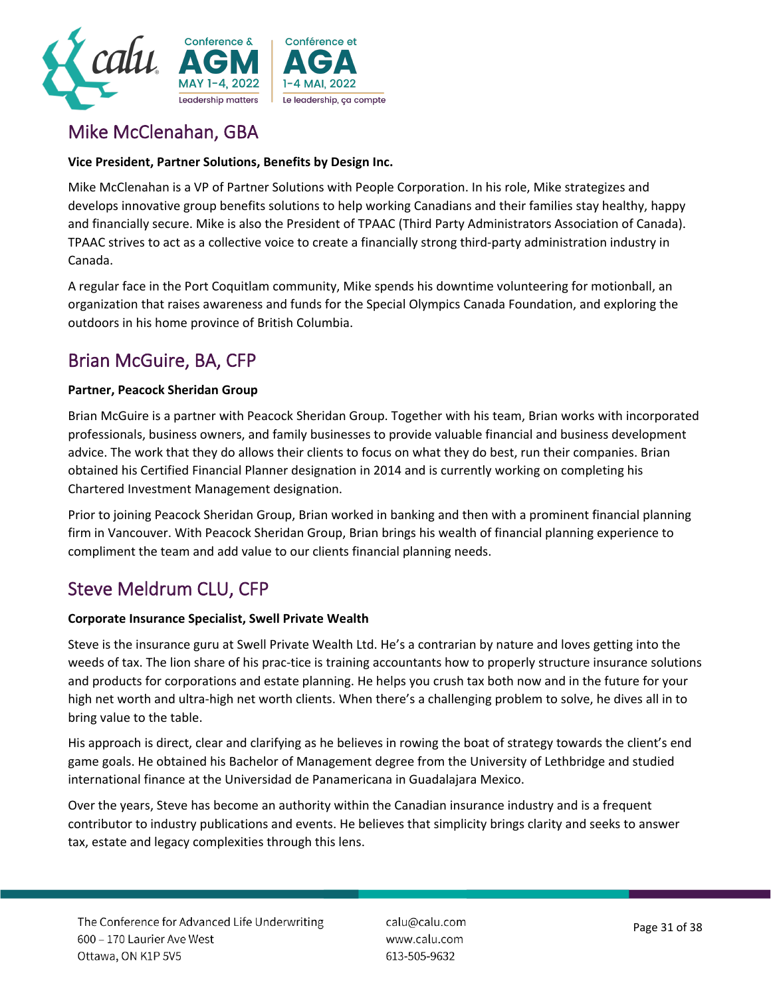

# Mike McClenahan, GBA

#### **Vice President, Partner Solutions, Benefits by Design Inc.**

Mike McClenahan is a VP of Partner Solutions with People Corporation. In his role, Mike strategizes and develops innovative group benefits solutions to help working Canadians and their families stay healthy, happy and financially secure. Mike is also the President of TPAAC (Third Party Administrators Association of Canada). TPAAC strives to act as a collective voice to create a financially strong third-party administration industry in Canada.

A regular face in the Port Coquitlam community, Mike spends his downtime volunteering for motionball, an organization that raises awareness and funds for the Special Olympics Canada Foundation, and exploring the outdoors in his home province of British Columbia.

### Brian McGuire, BA, CFP

#### **Partner, Peacock Sheridan Group**

Brian McGuire is a partner with Peacock Sheridan Group. Together with his team, Brian works with incorporated professionals, business owners, and family businesses to provide valuable financial and business development advice. The work that they do allows their clients to focus on what they do best, run their companies. Brian obtained his Certified Financial Planner designation in 2014 and is currently working on completing his Chartered Investment Management designation.

Prior to joining Peacock Sheridan Group, Brian worked in banking and then with a prominent financial planning firm in Vancouver. With Peacock Sheridan Group, Brian brings his wealth of financial planning experience to compliment the team and add value to our clients financial planning needs.

### Steve Meldrum CLU, CFP

#### **Corporate Insurance Specialist, Swell Private Wealth**

Steve is the insurance guru at Swell Private Wealth Ltd. He's a contrarian by nature and loves getting into the weeds of tax. The lion share of his prac-tice is training accountants how to properly structure insurance solutions and products for corporations and estate planning. He helps you crush tax both now and in the future for your high net worth and ultra-high net worth clients. When there's a challenging problem to solve, he dives all in to bring value to the table.

His approach is direct, clear and clarifying as he believes in rowing the boat of strategy towards the client's end game goals. He obtained his Bachelor of Management degree from the University of Lethbridge and studied international finance at the Universidad de Panamericana in Guadalajara Mexico.

Over the years, Steve has become an authority within the Canadian insurance industry and is a frequent contributor to industry publications and events. He believes that simplicity brings clarity and seeks to answer tax, estate and legacy complexities through this lens.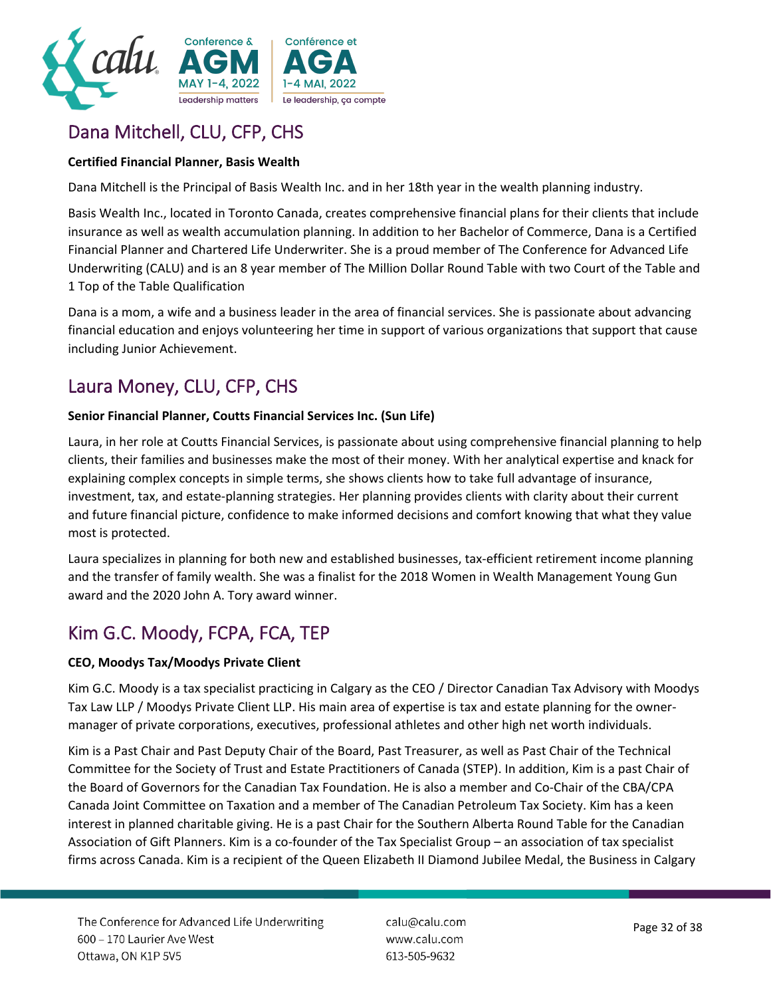

# Dana Mitchell, CLU, CFP, CHS

#### **Certified Financial Planner, Basis Wealth**

Dana Mitchell is the Principal of Basis Wealth Inc. and in her 18th year in the wealth planning industry.

Basis Wealth Inc., located in Toronto Canada, creates comprehensive financial plans for their clients that include insurance as well as wealth accumulation planning. In addition to her Bachelor of Commerce, Dana is a Certified Financial Planner and Chartered Life Underwriter. She is a proud member of The Conference for Advanced Life Underwriting (CALU) and is an 8 year member of The Million Dollar Round Table with two Court of the Table and 1 Top of the Table Qualification

Dana is a mom, a wife and a business leader in the area of financial services. She is passionate about advancing financial education and enjoys volunteering her time in support of various organizations that support that cause including Junior Achievement.

# Laura Money, CLU, CFP, CHS

#### **Senior Financial Planner, Coutts Financial Services Inc. (Sun Life)**

Laura, in her role at Coutts Financial Services, is passionate about using comprehensive financial planning to help clients, their families and businesses make the most of their money. With her analytical expertise and knack for explaining complex concepts in simple terms, she shows clients how to take full advantage of insurance, investment, tax, and estate-planning strategies. Her planning provides clients with clarity about their current and future financial picture, confidence to make informed decisions and comfort knowing that what they value most is protected.

Laura specializes in planning for both new and established businesses, tax-efficient retirement income planning and the transfer of family wealth. She was a finalist for the 2018 Women in Wealth Management Young Gun award and the 2020 John A. Tory award winner.

### Kim G.C. Moody, FCPA, FCA, TEP

#### **CEO, Moodys Tax/Moodys Private Client**

Kim G.C. Moody is a tax specialist practicing in Calgary as the CEO / Director Canadian Tax Advisory with Moodys Tax Law LLP / Moodys Private Client LLP. His main area of expertise is tax and estate planning for the ownermanager of private corporations, executives, professional athletes and other high net worth individuals.

Kim is a Past Chair and Past Deputy Chair of the Board, Past Treasurer, as well as Past Chair of the Technical Committee for the Society of Trust and Estate Practitioners of Canada (STEP). In addition, Kim is a past Chair of the Board of Governors for the Canadian Tax Foundation. He is also a member and Co-Chair of the CBA/CPA Canada Joint Committee on Taxation and a member of The Canadian Petroleum Tax Society. Kim has a keen interest in planned charitable giving. He is a past Chair for the Southern Alberta Round Table for the Canadian Association of Gift Planners. Kim is a co-founder of the Tax Specialist Group – an association of tax specialist firms across Canada. Kim is a recipient of the Queen Elizabeth II Diamond Jubilee Medal, the Business in Calgary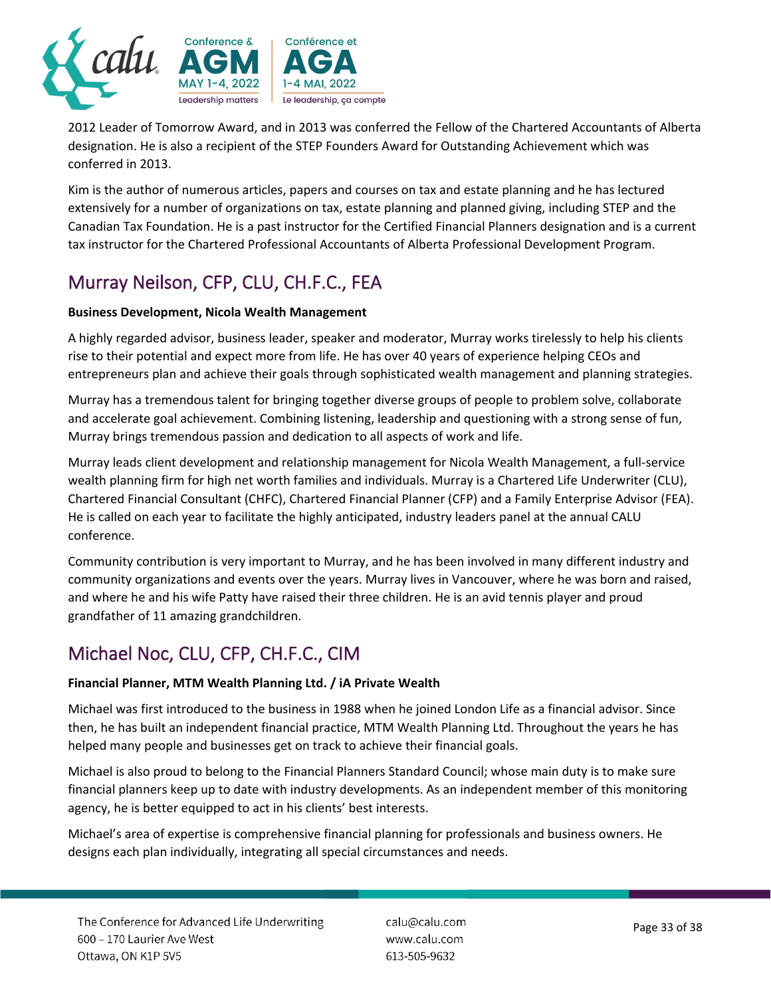

2012 Leader of Tomorrow Award, and in 2013 was conferred the Fellow of the Chartered Accountants of Alberta designation. He is also a recipient of the STEP Founders Award for Outstanding Achievement which was conferred in 2013.

Kim is the author of numerous articles, papers and courses on tax and estate planning and he has lectured extensively for a number of organizations on tax, estate planning and planned giving, including STEP and the Canadian Tax Foundation. He is a past instructor for the Certified Financial Planners designation and is a current tax instructor for the Chartered Professional Accountants of Alberta Professional Development Program.

# Murray Neilson, CFP, CLU, CH.F.C., FEA

#### **Business Development, Nicola Wealth Management**

A highly regarded advisor, business leader, speaker and moderator, Murray works tirelessly to help his clients rise to their potential and expect more from life. He has over 40 years of experience helping CEOs and entrepreneurs plan and achieve their goals through sophisticated wealth management and planning strategies.

Murray has a tremendous talent for bringing together diverse groups of people to problem solve, collaborate and accelerate goal achievement. Combining listening, leadership and questioning with a strong sense of fun, Murray brings tremendous passion and dedication to all aspects of work and life.

Murray leads client development and relationship management for Nicola Wealth Management, a full-service wealth planning firm for high net worth families and individuals. Murray is a Chartered Life Underwriter (CLU), Chartered Financial Consultant (CHFC), Chartered Financial Planner (CFP) and a Family Enterprise Advisor (FEA). He is called on each year to facilitate the highly anticipated, industry leaders panel at the annual CALU conference.

Community contribution is very important to Murray, and he has been involved in many different industry and community organizations and events over the years. Murray lives in Vancouver, where he was born and raised, and where he and his wife Patty have raised their three children. He is an avid tennis player and proud grandfather of 11 amazing grandchildren.

# Michael Noc, CLU, CFP, CH.F.C., CIM

#### **Financial Planner, MTM Wealth Planning Ltd. / iA Private Wealth**

Michael was first introduced to the business in 1988 when he joined London Life as a financial advisor. Since then, he has built an independent financial practice, MTM Wealth Planning Ltd. Throughout the years he has helped many people and businesses get on track to achieve their financial goals.

Michael is also proud to belong to the Financial Planners Standard Council; whose main duty is to make sure financial planners keep up to date with industry developments. As an independent member of this monitoring agency, he is better equipped to act in his clients' best interests.

Michael's area of expertise is comprehensive financial planning for professionals and business owners. He designs each plan individually, integrating all special circumstances and needs.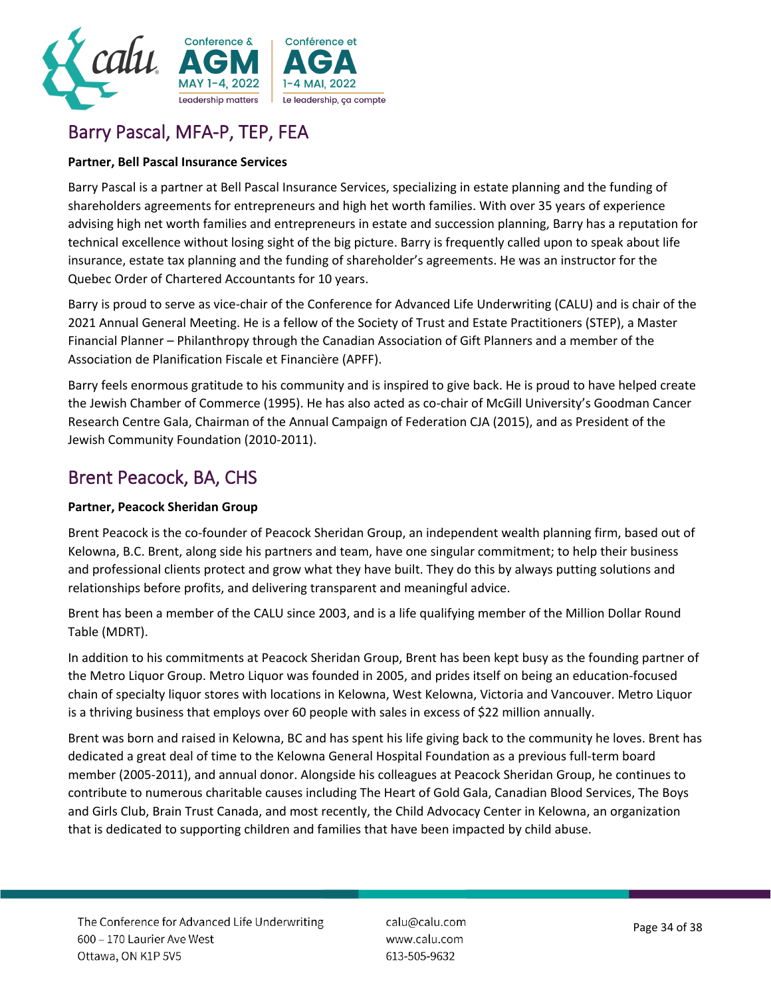

# Barry Pascal, MFA-P, TEP, FEA

#### **Partner, Bell Pascal Insurance Services**

Barry Pascal is a partner at Bell Pascal Insurance Services, specializing in estate planning and the funding of shareholders agreements for entrepreneurs and high het worth families. With over 35 years of experience advising high net worth families and entrepreneurs in estate and succession planning, Barry has a reputation for technical excellence without losing sight of the big picture. Barry is frequently called upon to speak about life insurance, estate tax planning and the funding of shareholder's agreements. He was an instructor for the Quebec Order of Chartered Accountants for 10 years.

Barry is proud to serve as vice-chair of the Conference for Advanced Life Underwriting (CALU) and is chair of the 2021 Annual General Meeting. He is a fellow of the Society of Trust and Estate Practitioners (STEP), a Master Financial Planner – Philanthropy through the Canadian Association of Gift Planners and a member of the Association de Planification Fiscale et Financière (APFF).

Barry feels enormous gratitude to his community and is inspired to give back. He is proud to have helped create the Jewish Chamber of Commerce (1995). He has also acted as co-chair of McGill University's Goodman Cancer Research Centre Gala, Chairman of the Annual Campaign of Federation CJA (2015), and as President of the Jewish Community Foundation (2010-2011).

### Brent Peacock, BA, CHS

#### **Partner, Peacock Sheridan Group**

Brent Peacock is the co-founder of Peacock Sheridan Group, an independent wealth planning firm, based out of Kelowna, B.C. Brent, along side his partners and team, have one singular commitment; to help their business and professional clients protect and grow what they have built. They do this by always putting solutions and relationships before profits, and delivering transparent and meaningful advice.

Brent has been a member of the CALU since 2003, and is a life qualifying member of the Million Dollar Round Table (MDRT).

In addition to his commitments at Peacock Sheridan Group, Brent has been kept busy as the founding partner of the Metro Liquor Group. Metro Liquor was founded in 2005, and prides itself on being an education-focused chain of specialty liquor stores with locations in Kelowna, West Kelowna, Victoria and Vancouver. Metro Liquor is a thriving business that employs over 60 people with sales in excess of \$22 million annually.

Brent was born and raised in Kelowna, BC and has spent his life giving back to the community he loves. Brent has dedicated a great deal of time to the Kelowna General Hospital Foundation as a previous full-term board member (2005-2011), and annual donor. Alongside his colleagues at Peacock Sheridan Group, he continues to contribute to numerous charitable causes including The Heart of Gold Gala, Canadian Blood Services, The Boys and Girls Club, Brain Trust Canada, and most recently, the Child Advocacy Center in Kelowna, an organization that is dedicated to supporting children and families that have been impacted by child abuse.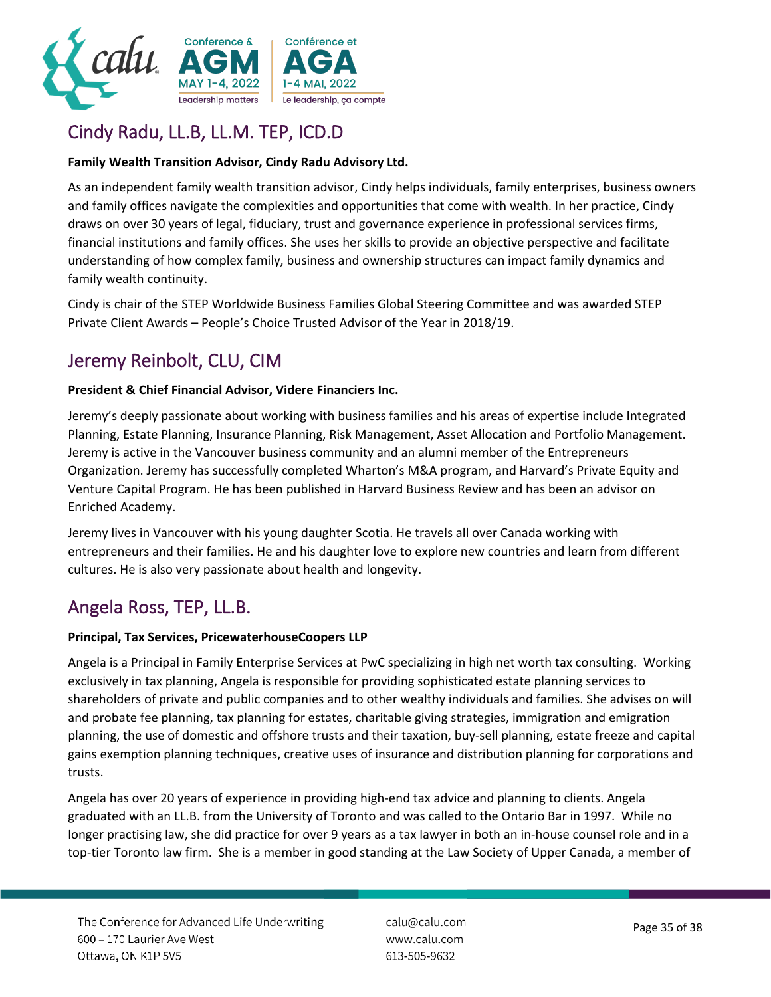

# Cindy Radu, LL.B, LL.M. TEP, ICD.D

#### **Family Wealth Transition Advisor, Cindy Radu Advisory Ltd.**

As an independent family wealth transition advisor, Cindy helps individuals, family enterprises, business owners and family offices navigate the complexities and opportunities that come with wealth. In her practice, Cindy draws on over 30 years of legal, fiduciary, trust and governance experience in professional services firms, financial institutions and family offices. She uses her skills to provide an objective perspective and facilitate understanding of how complex family, business and ownership structures can impact family dynamics and family wealth continuity.

Cindy is chair of the STEP Worldwide Business Families Global Steering Committee and was awarded STEP Private Client Awards – People's Choice Trusted Advisor of the Year in 2018/19.

# Jeremy Reinbolt, CLU, CIM

#### **President & Chief Financial Advisor, Videre Financiers Inc.**

Jeremy's deeply passionate about working with business families and his areas of expertise include Integrated Planning, Estate Planning, Insurance Planning, Risk Management, Asset Allocation and Portfolio Management. Jeremy is active in the Vancouver business community and an alumni member of the Entrepreneurs Organization. Jeremy has successfully completed Wharton's M&A program, and Harvard's Private Equity and Venture Capital Program. He has been published in Harvard Business Review and has been an advisor on Enriched Academy.

Jeremy lives in Vancouver with his young daughter Scotia. He travels all over Canada working with entrepreneurs and their families. He and his daughter love to explore new countries and learn from different cultures. He is also very passionate about health and longevity.

### Angela Ross, TEP, LL.B.

#### **Principal, Tax Services, PricewaterhouseCoopers LLP**

Angela is a Principal in Family Enterprise Services at PwC specializing in high net worth tax consulting. Working exclusively in tax planning, Angela is responsible for providing sophisticated estate planning services to shareholders of private and public companies and to other wealthy individuals and families. She advises on will and probate fee planning, tax planning for estates, charitable giving strategies, immigration and emigration planning, the use of domestic and offshore trusts and their taxation, buy-sell planning, estate freeze and capital gains exemption planning techniques, creative uses of insurance and distribution planning for corporations and trusts.

Angela has over 20 years of experience in providing high-end tax advice and planning to clients. Angela graduated with an LL.B. from the University of Toronto and was called to the Ontario Bar in 1997. While no longer practising law, she did practice for over 9 years as a tax lawyer in both an in-house counsel role and in a top-tier Toronto law firm. She is a member in good standing at the Law Society of Upper Canada, a member of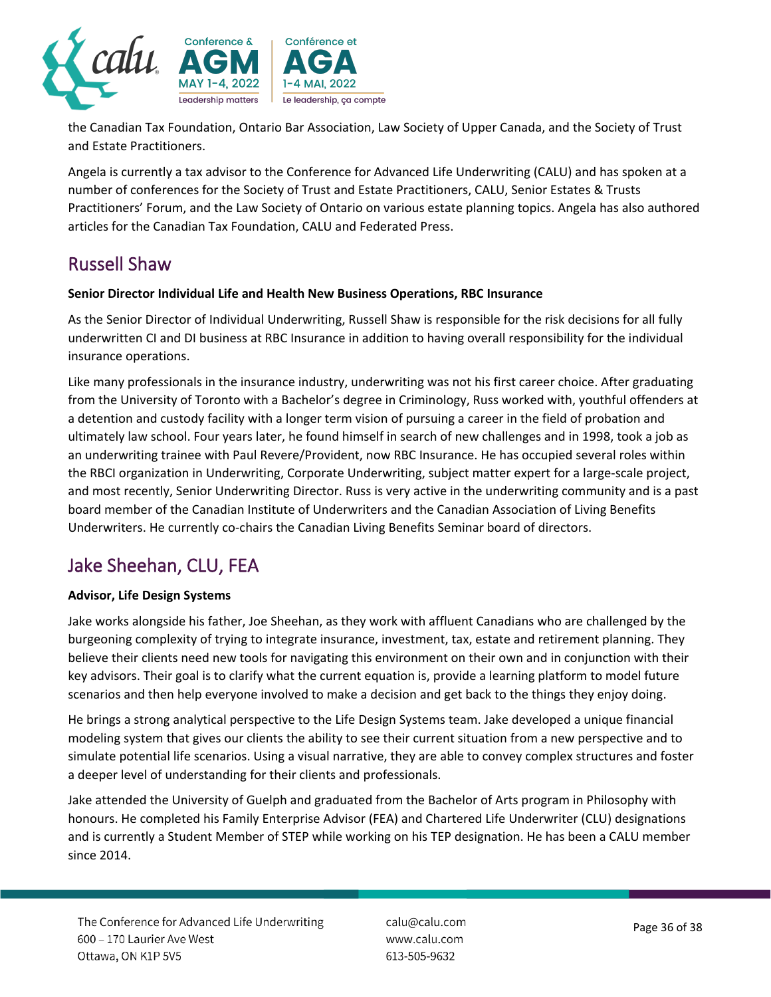

the Canadian Tax Foundation, Ontario Bar Association, Law Society of Upper Canada, and the Society of Trust and Estate Practitioners.

Angela is currently a tax advisor to the Conference for Advanced Life Underwriting (CALU) and has spoken at a number of conferences for the Society of Trust and Estate Practitioners, CALU, Senior Estates & Trusts Practitioners' Forum, and the Law Society of Ontario on various estate planning topics. Angela has also authored articles for the Canadian Tax Foundation, CALU and Federated Press.

# Russell Shaw

#### **Senior Director Individual Life and Health New Business Operations, RBC Insurance**

As the Senior Director of Individual Underwriting, Russell Shaw is responsible for the risk decisions for all fully underwritten CI and DI business at RBC Insurance in addition to having overall responsibility for the individual insurance operations.

Like many professionals in the insurance industry, underwriting was not his first career choice. After graduating from the University of Toronto with a Bachelor's degree in Criminology, Russ worked with, youthful offenders at a detention and custody facility with a longer term vision of pursuing a career in the field of probation and ultimately law school. Four years later, he found himself in search of new challenges and in 1998, took a job as an underwriting trainee with Paul Revere/Provident, now RBC Insurance. He has occupied several roles within the RBCI organization in Underwriting, Corporate Underwriting, subject matter expert for a large-scale project, and most recently, Senior Underwriting Director. Russ is very active in the underwriting community and is a past board member of the Canadian Institute of Underwriters and the Canadian Association of Living Benefits Underwriters. He currently co-chairs the Canadian Living Benefits Seminar board of directors.

# Jake Sheehan, CLU, FEA

#### **Advisor, Life Design Systems**

Jake works alongside his father, Joe Sheehan, as they work with affluent Canadians who are challenged by the burgeoning complexity of trying to integrate insurance, investment, tax, estate and retirement planning. They believe their clients need new tools for navigating this environment on their own and in conjunction with their key advisors. Their goal is to clarify what the current equation is, provide a learning platform to model future scenarios and then help everyone involved to make a decision and get back to the things they enjoy doing.

He brings a strong analytical perspective to the Life Design Systems team. Jake developed a unique financial modeling system that gives our clients the ability to see their current situation from a new perspective and to simulate potential life scenarios. Using a visual narrative, they are able to convey complex structures and foster a deeper level of understanding for their clients and professionals.

Jake attended the University of Guelph and graduated from the Bachelor of Arts program in Philosophy with honours. He completed his Family Enterprise Advisor (FEA) and Chartered Life Underwriter (CLU) designations and is currently a Student Member of STEP while working on his TEP designation. He has been a CALU member since 2014.

calu@calu.com www.calu.com 613-505-9632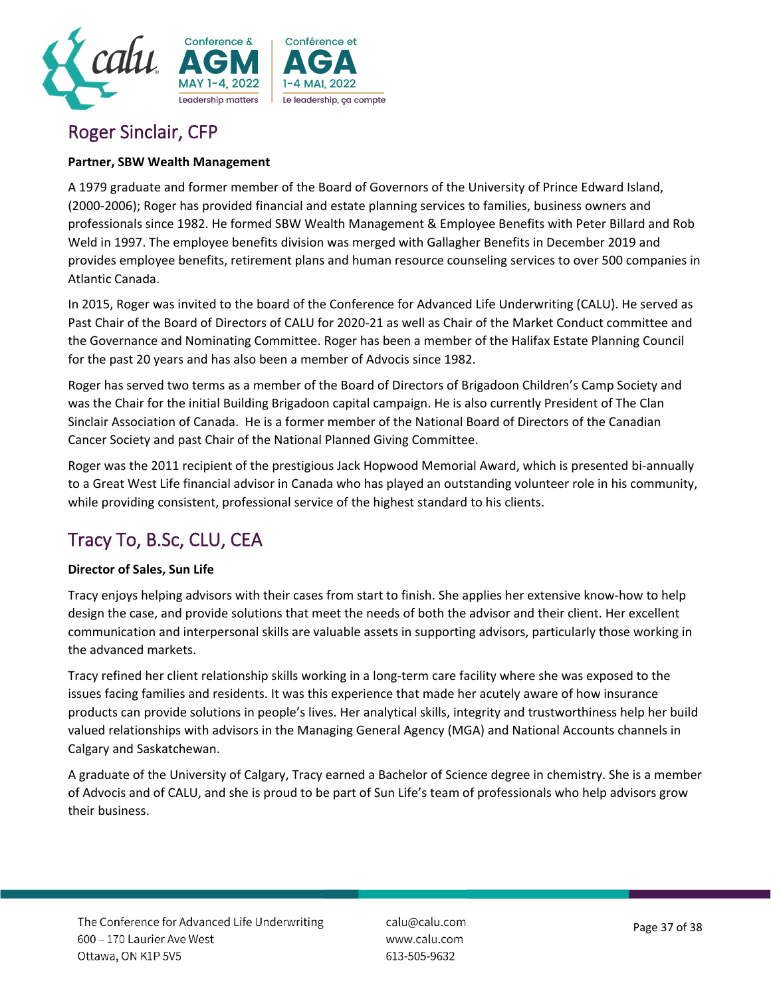

# Roger Sinclair, CFP

#### **Partner, SBW Wealth Management**

A 1979 graduate and former member of the Board of Governors of the University of Prince Edward Island, (2000-2006); Roger has provided financial and estate planning services to families, business owners and professionals since 1982. He formed SBW Wealth Management & Employee Benefits with Peter Billard and Rob Weld in 1997. The employee benefits division was merged with Gallagher Benefits in December 2019 and provides employee benefits, retirement plans and human resource counseling services to over 500 companies in Atlantic Canada.

In 2015, Roger was invited to the board of the Conference for Advanced Life Underwriting (CALU). He served as Past Chair of the Board of Directors of CALU for 2020-21 as well as Chair of the Market Conduct committee and the Governance and Nominating Committee. Roger has been a member of the Halifax Estate Planning Council for the past 20 years and has also been a member of Advocis since 1982.

Roger has served two terms as a member of the Board of Directors of Brigadoon Children's Camp Society and was the Chair for the initial Building Brigadoon capital campaign. He is also currently President of The Clan Sinclair Association of Canada. He is a former member of the National Board of Directors of the Canadian Cancer Society and past Chair of the National Planned Giving Committee.

Roger was the 2011 recipient of the prestigious Jack Hopwood Memorial Award, which is presented bi-annually to a Great West Life financial advisor in Canada who has played an outstanding volunteer role in his community, while providing consistent, professional service of the highest standard to his clients.

# Tracy To, B.Sc, CLU, CEA

#### **Director of Sales, Sun Life**

Tracy enjoys helping advisors with their cases from start to finish. She applies her extensive know-how to help design the case, and provide solutions that meet the needs of both the advisor and their client. Her excellent communication and interpersonal skills are valuable assets in supporting advisors, particularly those working in the advanced markets.

Tracy refined her client relationship skills working in a long-term care facility where she was exposed to the issues facing families and residents. It was this experience that made her acutely aware of how insurance products can provide solutions in people's lives. Her analytical skills, integrity and trustworthiness help her build valued relationships with advisors in the Managing General Agency (MGA) and National Accounts channels in Calgary and Saskatchewan.

A graduate of the University of Calgary, Tracy earned a Bachelor of Science degree in chemistry. She is a member of Advocis and of CALU, and she is proud to be part of Sun Life's team of professionals who help advisors grow their business.